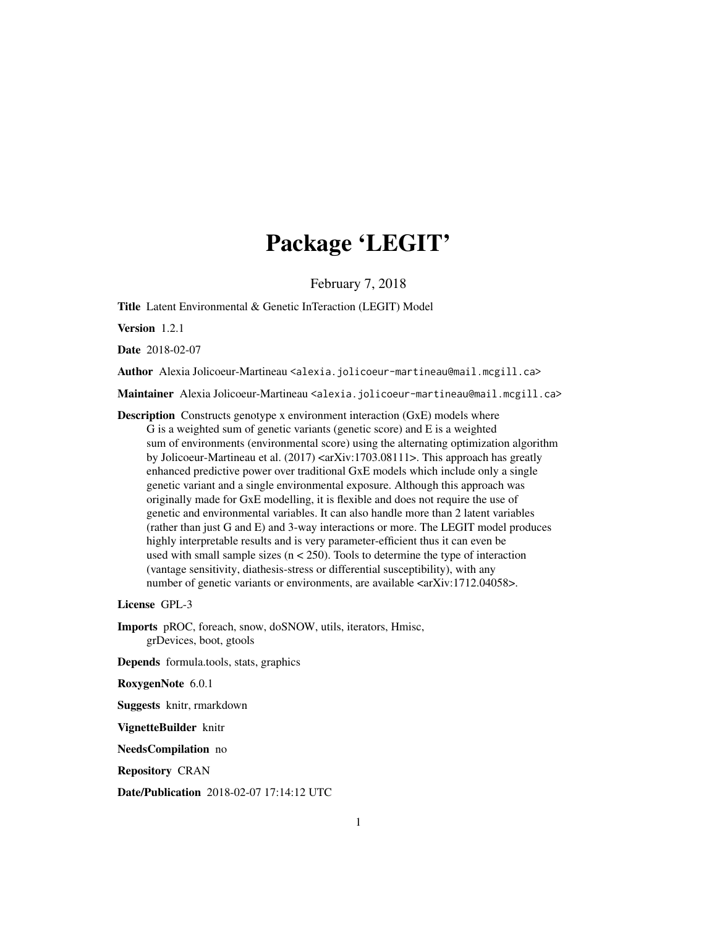# Package 'LEGIT'

February 7, 2018

Title Latent Environmental & Genetic InTeraction (LEGIT) Model

Version 1.2.1

Date 2018-02-07

Author Alexia Jolicoeur-Martineau <alexia.jolicoeur-martineau@mail.mcgill.ca>

Maintainer Alexia Jolicoeur-Martineau <alexia.jolicoeur-martineau@mail.mcgill.ca>

Description Constructs genotype x environment interaction (GxE) models where G is a weighted sum of genetic variants (genetic score) and E is a weighted sum of environments (environmental score) using the alternating optimization algorithm by Jolicoeur-Martineau et al. (2017) <arXiv:1703.08111>. This approach has greatly enhanced predictive power over traditional GxE models which include only a single genetic variant and a single environmental exposure. Although this approach was originally made for GxE modelling, it is flexible and does not require the use of genetic and environmental variables. It can also handle more than 2 latent variables (rather than just G and E) and 3-way interactions or more. The LEGIT model produces highly interpretable results and is very parameter-efficient thus it can even be used with small sample sizes ( $n < 250$ ). Tools to determine the type of interaction (vantage sensitivity, diathesis-stress or differential susceptibility), with any number of genetic variants or environments, are available  $\langle \text{arXiv:1712.04058} \rangle$ .

License GPL-3

Imports pROC, foreach, snow, doSNOW, utils, iterators, Hmisc, grDevices, boot, gtools

Depends formula.tools, stats, graphics

RoxygenNote 6.0.1

Suggests knitr, rmarkdown

VignetteBuilder knitr

NeedsCompilation no

Repository CRAN

Date/Publication 2018-02-07 17:14:12 UTC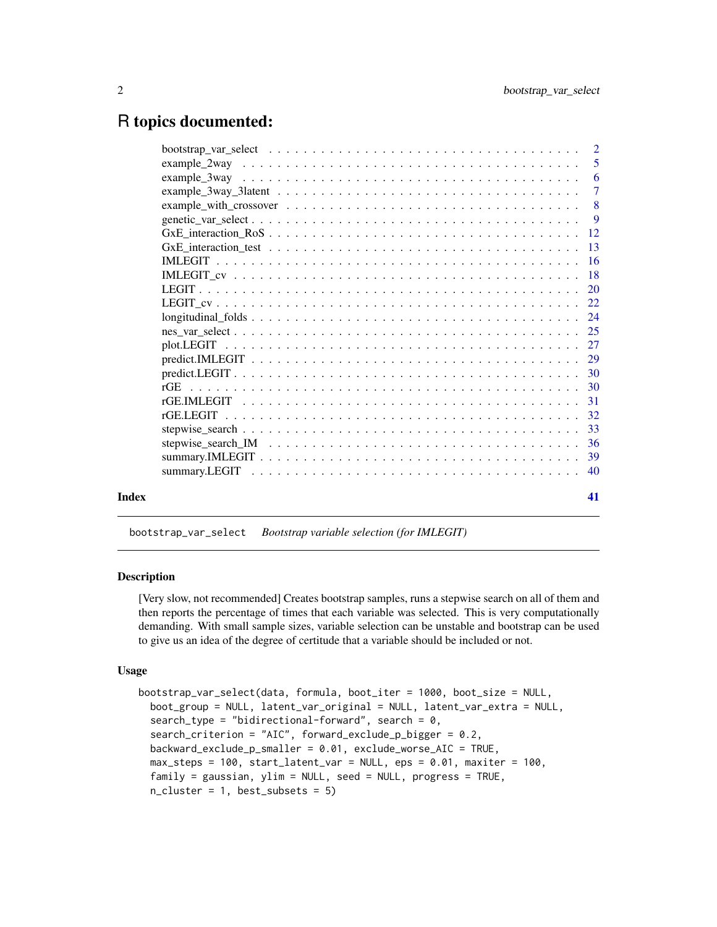# <span id="page-1-0"></span>R topics documented:

|       | bootstrap var select $\dots \dots \dots \dots \dots \dots \dots \dots \dots \dots \dots \dots \dots \dots$           | $\overline{2}$  |
|-------|----------------------------------------------------------------------------------------------------------------------|-----------------|
|       |                                                                                                                      | 5               |
|       |                                                                                                                      | 6               |
|       |                                                                                                                      | $\overline{7}$  |
|       |                                                                                                                      | 8               |
|       |                                                                                                                      | $\overline{9}$  |
|       |                                                                                                                      | -12             |
|       | $GxE_$ interaction_test $\ldots \ldots \ldots \ldots \ldots \ldots \ldots \ldots \ldots \ldots \ldots \ldots \ldots$ | $\overline{13}$ |
|       |                                                                                                                      | <b>16</b>       |
|       |                                                                                                                      |                 |
|       |                                                                                                                      | 20              |
|       |                                                                                                                      |                 |
|       |                                                                                                                      |                 |
|       |                                                                                                                      |                 |
|       |                                                                                                                      |                 |
|       |                                                                                                                      |                 |
|       |                                                                                                                      |                 |
|       |                                                                                                                      |                 |
|       |                                                                                                                      |                 |
|       |                                                                                                                      | 32              |
|       |                                                                                                                      | -33             |
|       |                                                                                                                      | -36             |
|       |                                                                                                                      | 39              |
|       |                                                                                                                      | 40              |
|       |                                                                                                                      |                 |
| Index |                                                                                                                      | 41              |
|       |                                                                                                                      |                 |

bootstrap\_var\_select *Bootstrap variable selection (for IMLEGIT)*

# Description

[Very slow, not recommended] Creates bootstrap samples, runs a stepwise search on all of them and then reports the percentage of times that each variable was selected. This is very computationally demanding. With small sample sizes, variable selection can be unstable and bootstrap can be used to give us an idea of the degree of certitude that a variable should be included or not.

#### Usage

```
bootstrap_var_select(data, formula, boot_iter = 1000, boot_size = NULL,
 boot_group = NULL, latent_var_original = NULL, latent_var_extra = NULL,
  search_type = "bidirectional-forward", search = 0,
  search_criterion = "AIC", forward_exclude_p_bigger = 0.2,
 backward_exclude_p_smaller = 0.01, exclude_worse_AIC = TRUE,
 max\_steps = 100, start\_latent\_var = NULL, eps = 0.01, maxiter = 100,
  family = gaussian, ylim = NULL, seed = NULL, progress = TRUE,
  n_cluster = 1, best_subsets = 5)
```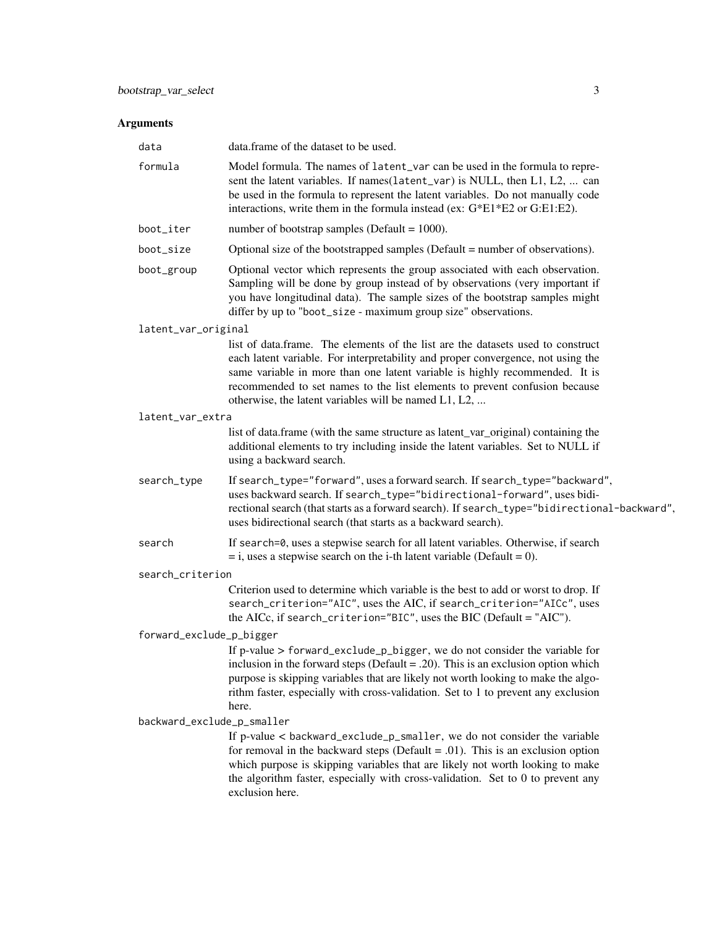| Model formula. The names of latent_var can be used in the formula to repre-<br>sent the latent variables. If names(latent_var) is NULL, then L1, L2,  can<br>be used in the formula to represent the latent variables. Do not manually code<br>interactions, write them in the formula instead (ex: G*E1*E2 or G:E1:E2).<br>number of bootstrap samples (Default = $1000$ ).<br>Optional size of the bootstrapped samples (Default = number of observations).<br>Optional vector which represents the group associated with each observation.<br>Sampling will be done by group instead of by observations (very important if<br>you have longitudinal data). The sample sizes of the bootstrap samples might<br>differ by up to "boot_size - maximum group size" observations.<br>latent_var_original<br>list of data.frame. The elements of the list are the datasets used to construct<br>each latent variable. For interpretability and proper convergence, not using the<br>same variable in more than one latent variable is highly recommended. It is<br>recommended to set names to the list elements to prevent confusion because<br>otherwise, the latent variables will be named L1, L2, |
|-----------------------------------------------------------------------------------------------------------------------------------------------------------------------------------------------------------------------------------------------------------------------------------------------------------------------------------------------------------------------------------------------------------------------------------------------------------------------------------------------------------------------------------------------------------------------------------------------------------------------------------------------------------------------------------------------------------------------------------------------------------------------------------------------------------------------------------------------------------------------------------------------------------------------------------------------------------------------------------------------------------------------------------------------------------------------------------------------------------------------------------------------------------------------------------------------------|
|                                                                                                                                                                                                                                                                                                                                                                                                                                                                                                                                                                                                                                                                                                                                                                                                                                                                                                                                                                                                                                                                                                                                                                                                     |
|                                                                                                                                                                                                                                                                                                                                                                                                                                                                                                                                                                                                                                                                                                                                                                                                                                                                                                                                                                                                                                                                                                                                                                                                     |
|                                                                                                                                                                                                                                                                                                                                                                                                                                                                                                                                                                                                                                                                                                                                                                                                                                                                                                                                                                                                                                                                                                                                                                                                     |
|                                                                                                                                                                                                                                                                                                                                                                                                                                                                                                                                                                                                                                                                                                                                                                                                                                                                                                                                                                                                                                                                                                                                                                                                     |
|                                                                                                                                                                                                                                                                                                                                                                                                                                                                                                                                                                                                                                                                                                                                                                                                                                                                                                                                                                                                                                                                                                                                                                                                     |
|                                                                                                                                                                                                                                                                                                                                                                                                                                                                                                                                                                                                                                                                                                                                                                                                                                                                                                                                                                                                                                                                                                                                                                                                     |
| latent_var_extra                                                                                                                                                                                                                                                                                                                                                                                                                                                                                                                                                                                                                                                                                                                                                                                                                                                                                                                                                                                                                                                                                                                                                                                    |
| list of data.frame (with the same structure as latent_var_original) containing the<br>additional elements to try including inside the latent variables. Set to NULL if<br>using a backward search.                                                                                                                                                                                                                                                                                                                                                                                                                                                                                                                                                                                                                                                                                                                                                                                                                                                                                                                                                                                                  |
| If search_type="forward", uses a forward search. If search_type="backward",<br>uses backward search. If search_type="bidirectional-forward", uses bidi-<br>rectional search (that starts as a forward search). If search_type="bidirectional-backward",<br>uses bidirectional search (that starts as a backward search).                                                                                                                                                                                                                                                                                                                                                                                                                                                                                                                                                                                                                                                                                                                                                                                                                                                                            |
| If search=0, uses a stepwise search for all latent variables. Otherwise, if search<br>$=$ i, uses a stepwise search on the i-th latent variable (Default = 0).                                                                                                                                                                                                                                                                                                                                                                                                                                                                                                                                                                                                                                                                                                                                                                                                                                                                                                                                                                                                                                      |
| search_criterion                                                                                                                                                                                                                                                                                                                                                                                                                                                                                                                                                                                                                                                                                                                                                                                                                                                                                                                                                                                                                                                                                                                                                                                    |
| Criterion used to determine which variable is the best to add or worst to drop. If<br>search_criterion="AIC", uses the AIC, if search_criterion="AICc", uses<br>the AICc, if search_criterion="BIC", uses the BIC (Default = "AIC").                                                                                                                                                                                                                                                                                                                                                                                                                                                                                                                                                                                                                                                                                                                                                                                                                                                                                                                                                                |
| forward_exclude_p_bigger                                                                                                                                                                                                                                                                                                                                                                                                                                                                                                                                                                                                                                                                                                                                                                                                                                                                                                                                                                                                                                                                                                                                                                            |
| If p-value > forward_exclude_p_bigger, we do not consider the variable for<br>inclusion in the forward steps (Default = .20). This is an exclusion option which<br>purpose is skipping variables that are likely not worth looking to make the algo-<br>rithm faster, especially with cross-validation. Set to 1 to prevent any exclusion<br>here.                                                                                                                                                                                                                                                                                                                                                                                                                                                                                                                                                                                                                                                                                                                                                                                                                                                  |
| backward_exclude_p_smaller                                                                                                                                                                                                                                                                                                                                                                                                                                                                                                                                                                                                                                                                                                                                                                                                                                                                                                                                                                                                                                                                                                                                                                          |
| If p-value < backward_exclude_p_smaller, we do not consider the variable<br>for removal in the backward steps (Default = .01). This is an exclusion option<br>which purpose is skipping variables that are likely not worth looking to make<br>the algorithm faster, especially with cross-validation. Set to 0 to prevent any<br>exclusion here.                                                                                                                                                                                                                                                                                                                                                                                                                                                                                                                                                                                                                                                                                                                                                                                                                                                   |
|                                                                                                                                                                                                                                                                                                                                                                                                                                                                                                                                                                                                                                                                                                                                                                                                                                                                                                                                                                                                                                                                                                                                                                                                     |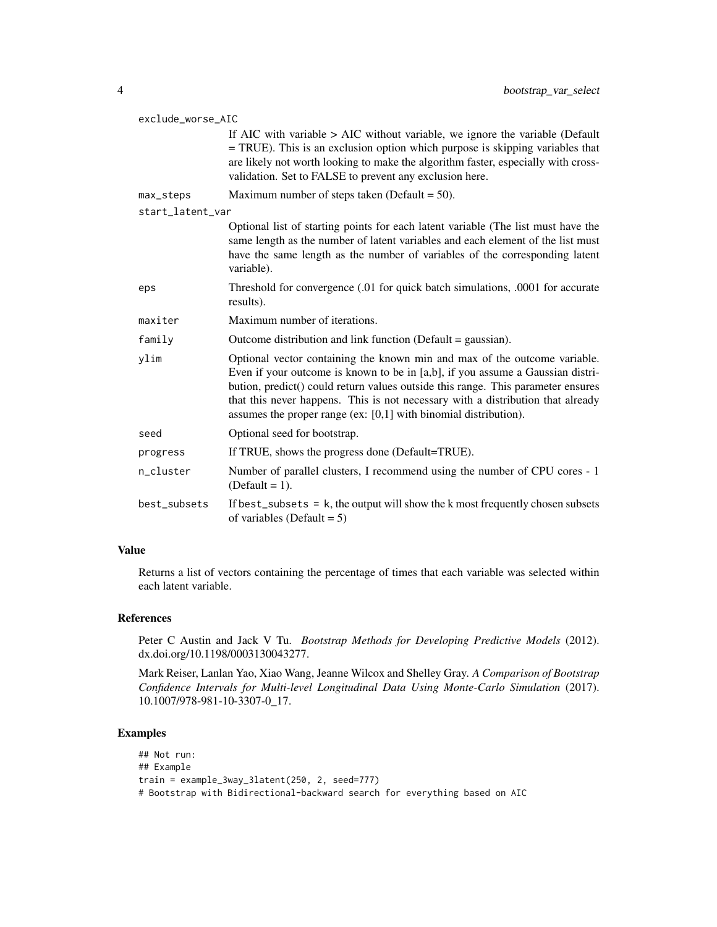| exclude_worse_AIC |                                                                                                                                                                                                                                                                                                                                                                                                          |  |
|-------------------|----------------------------------------------------------------------------------------------------------------------------------------------------------------------------------------------------------------------------------------------------------------------------------------------------------------------------------------------------------------------------------------------------------|--|
|                   | If AIC with variable $>$ AIC without variable, we ignore the variable (Default<br>= TRUE). This is an exclusion option which purpose is skipping variables that<br>are likely not worth looking to make the algorithm faster, especially with cross-<br>validation. Set to FALSE to prevent any exclusion here.                                                                                          |  |
| max_steps         | Maximum number of steps taken (Default = $50$ ).                                                                                                                                                                                                                                                                                                                                                         |  |
| start_latent_var  |                                                                                                                                                                                                                                                                                                                                                                                                          |  |
|                   | Optional list of starting points for each latent variable (The list must have the<br>same length as the number of latent variables and each element of the list must<br>have the same length as the number of variables of the corresponding latent<br>variable).                                                                                                                                        |  |
| eps               | Threshold for convergence (.01 for quick batch simulations, .0001 for accurate<br>results).                                                                                                                                                                                                                                                                                                              |  |
| maxiter           | Maximum number of iterations.                                                                                                                                                                                                                                                                                                                                                                            |  |
| family            | Outcome distribution and link function (Default $=$ gaussian).                                                                                                                                                                                                                                                                                                                                           |  |
| ylim              | Optional vector containing the known min and max of the outcome variable.<br>Even if your outcome is known to be in [a,b], if you assume a Gaussian distri-<br>bution, predict() could return values outside this range. This parameter ensures<br>that this never happens. This is not necessary with a distribution that already<br>assumes the proper range (ex: $[0,1]$ with binomial distribution). |  |
| seed              | Optional seed for bootstrap.                                                                                                                                                                                                                                                                                                                                                                             |  |
| progress          | If TRUE, shows the progress done (Default=TRUE).                                                                                                                                                                                                                                                                                                                                                         |  |
| n_cluster         | Number of parallel clusters, I recommend using the number of CPU cores - 1<br>(Default = $1$ ).                                                                                                                                                                                                                                                                                                          |  |
| best_subsets      | If best_subsets = $k$ , the output will show the $k$ most frequently chosen subsets<br>of variables (Default = $5$ )                                                                                                                                                                                                                                                                                     |  |

Returns a list of vectors containing the percentage of times that each variable was selected within each latent variable.

# References

Peter C Austin and Jack V Tu. *Bootstrap Methods for Developing Predictive Models* (2012). dx.doi.org/10.1198/0003130043277.

Mark Reiser, Lanlan Yao, Xiao Wang, Jeanne Wilcox and Shelley Gray. *A Comparison of Bootstrap Confidence Intervals for Multi-level Longitudinal Data Using Monte-Carlo Simulation* (2017). 10.1007/978-981-10-3307-0\_17.

# Examples

```
## Not run:
## Example
train = example_3way_3latent(250, 2, seed=777)
# Bootstrap with Bidirectional-backward search for everything based on AIC
```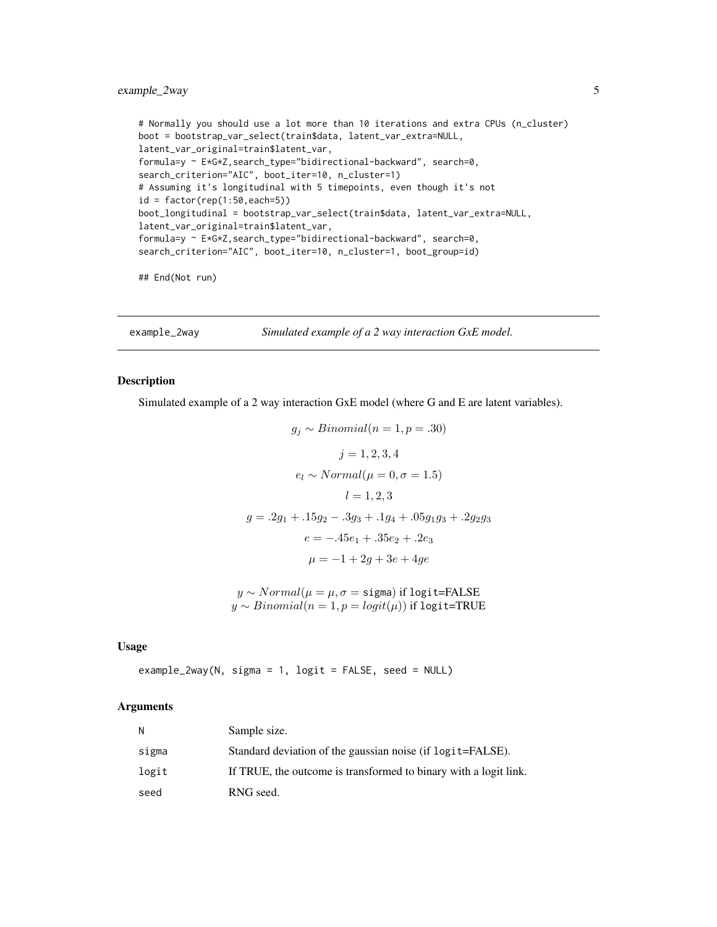# <span id="page-4-0"></span>example\_2way 5

```
# Normally you should use a lot more than 10 iterations and extra CPUs (n_cluster)
boot = bootstrap_var_select(train$data, latent_var_extra=NULL,
latent_var_original=train$latent_var,
formula=y ~ E*G*Z,search_type="bidirectional-backward", search=0,
search_criterion="AIC", boot_iter=10, n_cluster=1)
# Assuming it's longitudinal with 5 timepoints, even though it's not
id = factor(rep(1:50, each=5))boot_longitudinal = bootstrap_var_select(train$data, latent_var_extra=NULL,
latent_var_original=train$latent_var,
formula=y ~ E*G*Z,search_type="bidirectional-backward", search=0,
search_criterion="AIC", boot_iter=10, n_cluster=1, boot_group=id)
```
## End(Not run)

example\_2way *Simulated example of a 2 way interaction GxE model.*

# Description

Simulated example of a 2 way interaction GxE model (where G and E are latent variables).

```
g_i \sim Binomial(n = 1, p = .30)j = 1, 2, 3, 4e_l \sim Normal(\mu = 0, \sigma = 1.5)l = 1, 2, 3g = .2g_1 + .15g_2 - .3g_3 + .1g_4 + .05g_1g_3 + .2g_2g_3e = -0.45e_1 + 0.35e_2 + 0.2e_3\mu = -1 + 2q + 3e + 4qe
```
 $y \sim Normal(\mu = \mu, \sigma = \text{sigma})$  if logit=FALSE  $y \sim Binomial(n = 1, p = logit(\mu))$  if logit=TRUE

#### Usage

```
example_2way(N, sigma = 1, logit = FALSE, seed = NULL)
```

| И     | Sample size.                                                     |
|-------|------------------------------------------------------------------|
| sigma | Standard deviation of the gaussian noise (if logit=FALSE).       |
| logit | If TRUE, the outcome is transformed to binary with a logit link. |
| seed  | RNG seed.                                                        |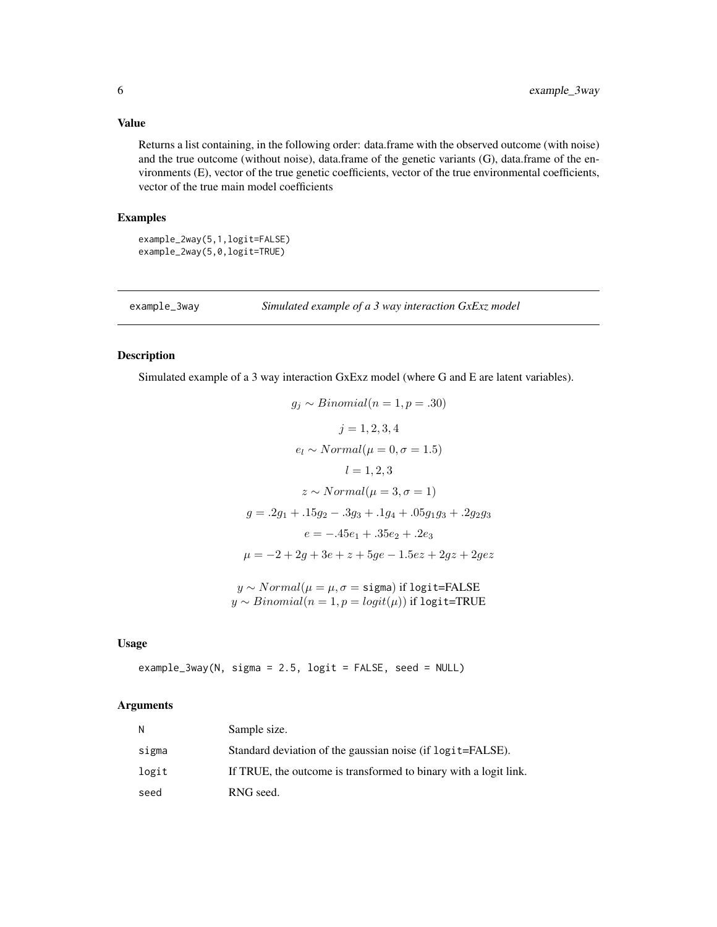Returns a list containing, in the following order: data.frame with the observed outcome (with noise) and the true outcome (without noise), data.frame of the genetic variants (G), data.frame of the environments (E), vector of the true genetic coefficients, vector of the true environmental coefficients, vector of the true main model coefficients

# Examples

```
example_2way(5,1,logit=FALSE)
example_2way(5,0,logit=TRUE)
```
example\_3way *Simulated example of a 3 way interaction GxExz model*

# Description

Simulated example of a 3 way interaction GxExz model (where G and E are latent variables).

$$
g_j \sim Binomial(n = 1, p = .30)
$$
  
\n $j = 1, 2, 3, 4$   
\n $e_l \sim Normal(\mu = 0, \sigma = 1.5)$   
\n $l = 1, 2, 3$   
\n $z \sim Normal(\mu = 3, \sigma = 1)$   
\n $g = .2g_1 + .15g_2 - .3g_3 + .1g_4 + .05g_1g_3 + .2g_2g_3$   
\n $e = -.45e_1 + .35e_2 + .2e_3$   
\n $\mu = -2 + 2g + 3e + z + 5ge - 1.5ez + 2gz + 2gez$ 

 $y \sim Normal(\mu = \mu, \sigma = \text{sigma})$  if logit=FALSE  $y \sim Binomial(n = 1, p = logit(\mu))$  if logit=TRUE

# Usage

example\_3way(N, sigma = 2.5, logit = FALSE, seed = NULL)

| N     | Sample size.                                                     |
|-------|------------------------------------------------------------------|
| sigma | Standard deviation of the gaussian noise (if logit=FALSE).       |
| logit | If TRUE, the outcome is transformed to binary with a logit link. |
| seed  | RNG seed.                                                        |

<span id="page-5-0"></span>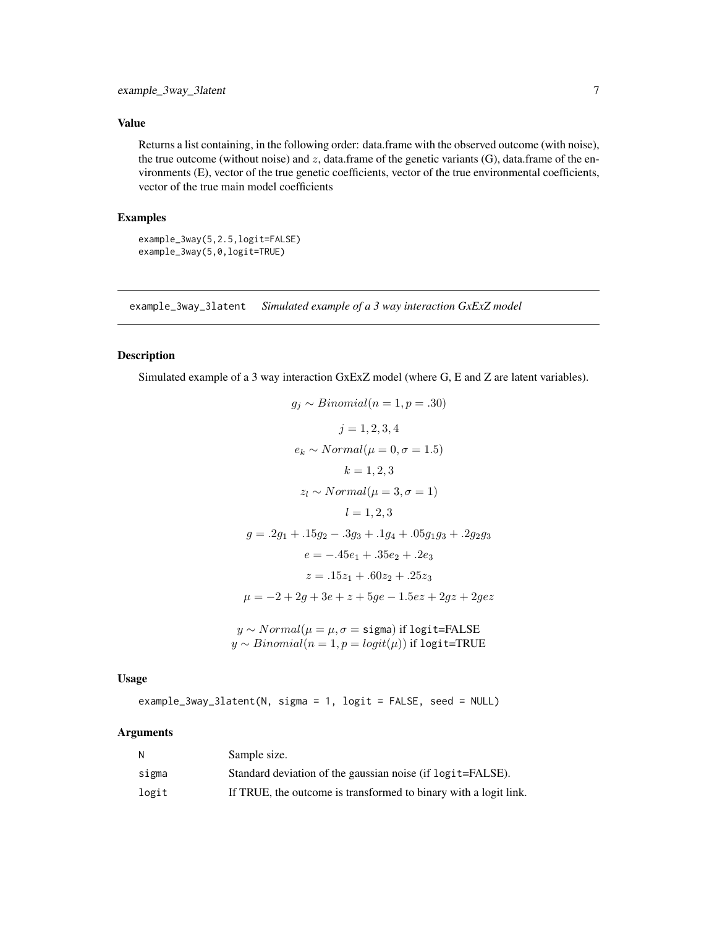<span id="page-6-0"></span>Returns a list containing, in the following order: data.frame with the observed outcome (with noise), the true outcome (without noise) and  $z$ , data.frame of the genetic variants (G), data.frame of the environments (E), vector of the true genetic coefficients, vector of the true environmental coefficients, vector of the true main model coefficients

# Examples

```
example_3way(5,2.5,logit=FALSE)
example_3way(5,0,logit=TRUE)
```
example\_3way\_3latent *Simulated example of a 3 way interaction GxExZ model*

# Description

Simulated example of a 3 way interaction GxExZ model (where G, E and Z are latent variables).

$$
g_j \sim Binomial(n = 1, p = .30)
$$
  
\n
$$
j = 1, 2, 3, 4
$$
  
\n
$$
e_k \sim Normal(\mu = 0, \sigma = 1.5)
$$
  
\n
$$
k = 1, 2, 3
$$
  
\n
$$
z_l \sim Normal(\mu = 3, \sigma = 1)
$$
  
\n
$$
l = 1, 2, 3
$$
  
\n
$$
g = .2g_1 + .15g_2 - .3g_3 + .1g_4 + .05g_1g_3 + .2g_2g_3
$$
  
\n
$$
e = -.45e_1 + .35e_2 + .2e_3
$$
  
\n
$$
z = .15z_1 + .60z_2 + .25z_3
$$
  
\n
$$
\mu = -2 + 2g + 3e + z + 5ge - 1.5ez + 2gz + 2gez
$$
  
\n
$$
y \sim Normal(\mu = \mu, \sigma = \text{sigma}) \text{ if } \text{logit} = \text{FALSE}
$$
  
\n
$$
y \sim Normal(n = 1, p = logit(\mu)) \text{ if } \text{logit} = \text{TRUE}
$$

Usage

example\_3way\_3latent(N, sigma = 1, logit = FALSE, seed = NULL)

| N     | Sample size.                                                     |
|-------|------------------------------------------------------------------|
| sigma | Standard deviation of the gaussian noise (if logit=FALSE).       |
| logit | If TRUE, the outcome is transformed to binary with a logit link. |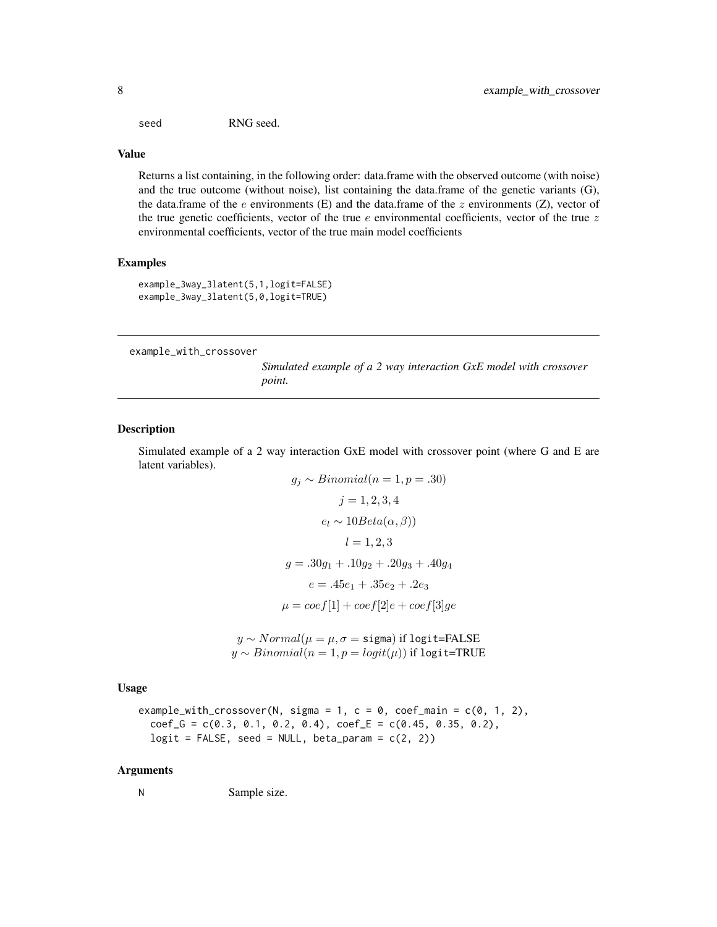<span id="page-7-0"></span>seed RNG seed.

#### Value

Returns a list containing, in the following order: data.frame with the observed outcome (with noise) and the true outcome (without noise), list containing the data.frame of the genetic variants (G), the data.frame of the e environments (E) and the data.frame of the  $z$  environments (Z), vector of the true genetic coefficients, vector of the true  $e$  environmental coefficients, vector of the true  $z$ environmental coefficients, vector of the true main model coefficients

#### Examples

example\_3way\_3latent(5,1,logit=FALSE) example\_3way\_3latent(5,0,logit=TRUE)

example\_with\_crossover

*Simulated example of a 2 way interaction GxE model with crossover point.*

#### Description

Simulated example of a 2 way interaction GxE model with crossover point (where G and E are latent variables).

$$
g_j \sim Binomial(n = 1, p = .30)
$$
  
\n
$$
j = 1, 2, 3, 4
$$
  
\n
$$
e_l \sim 10 Beta(\alpha, \beta))
$$
  
\n
$$
l = 1, 2, 3
$$
  
\n
$$
g = .30g_1 + .10g_2 + .20g_3 + .40g_4
$$
  
\n
$$
e = .45e_1 + .35e_2 + .2e_3
$$
  
\n
$$
\mu = coef[1] + coef[2]e + coef[3]ge
$$

 $y \sim Normal(\mu = \mu, \sigma = \text{sigma})$  if logit=FALSE  $y \sim Binomial(n = 1, p = logit(\mu))$  if logit=TRUE

Usage

```
example_with_crossover(N, sigma = 1, c = 0, coef_main = c(0, 1, 2),
  coef_G = c(0.3, 0.1, 0.2, 0.4), coef_E = c(0.45, 0.35, 0.2),logit = FALSE, seed = NULL, beta\_param = c(2, 2)
```
#### Arguments

N Sample size.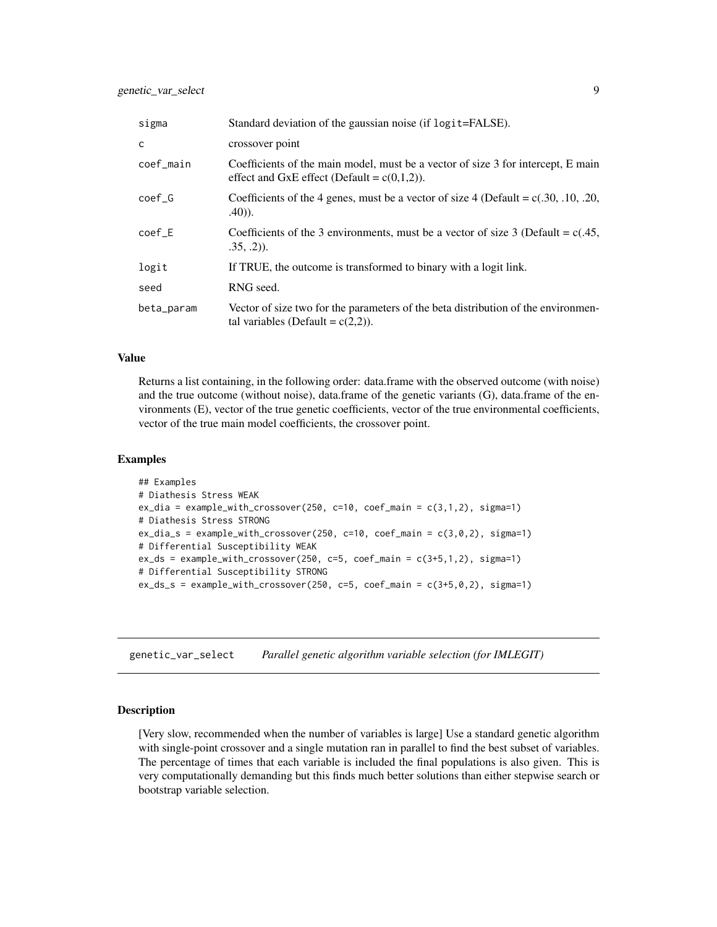<span id="page-8-0"></span>

| sigma      | Standard deviation of the gaussian noise (if logit=FALSE).                                                                         |
|------------|------------------------------------------------------------------------------------------------------------------------------------|
| C          | crossover point                                                                                                                    |
| coef_main  | Coefficients of the main model, must be a vector of size 3 for intercept, E main<br>effect and GxE effect (Default = $c(0,1,2)$ ). |
| coef G     | Coefficients of the 4 genes, must be a vector of size 4 (Default = $c(.30, .10, .20, )$ )<br>$.40)$ ).                             |
| $coef_E$   | Coefficients of the 3 environments, must be a vector of size 3 (Default = $c(.45, 10^{-12})$<br>$.35, .2)$ ).                      |
| logit      | If TRUE, the outcome is transformed to binary with a logit link.                                                                   |
| seed       | RNG seed.                                                                                                                          |
| beta_param | Vector of size two for the parameters of the beta distribution of the environmen-<br>tal variables (Default = $c(2,2)$ ).          |

Returns a list containing, in the following order: data.frame with the observed outcome (with noise) and the true outcome (without noise), data.frame of the genetic variants (G), data.frame of the environments (E), vector of the true genetic coefficients, vector of the true environmental coefficients, vector of the true main model coefficients, the crossover point.

#### Examples

```
## Examples
# Diathesis Stress WEAK
ex\_dia = example\_with\_crossover(250, c=10, coef\_main = c(3,1,2), sigma=1)# Diathesis Stress STRONG
ex\_dia_s = example\_with\_crossover(250, c=10, coef\_main = c(3,0,2), sigma=1)# Differential Susceptibility WEAK
ex\_ds = example\_with\_crossover(250, c=5, coef\_main = c(3+5,1,2), sigma=1)# Differential Susceptibility STRONG
ex\_ds\_s = example_with_crossover(250, c=5, coef_main = c(3+5,0,2), sigma=1)
```
genetic\_var\_select *Parallel genetic algorithm variable selection (for IMLEGIT)*

#### Description

[Very slow, recommended when the number of variables is large] Use a standard genetic algorithm with single-point crossover and a single mutation ran in parallel to find the best subset of variables. The percentage of times that each variable is included the final populations is also given. This is very computationally demanding but this finds much better solutions than either stepwise search or bootstrap variable selection.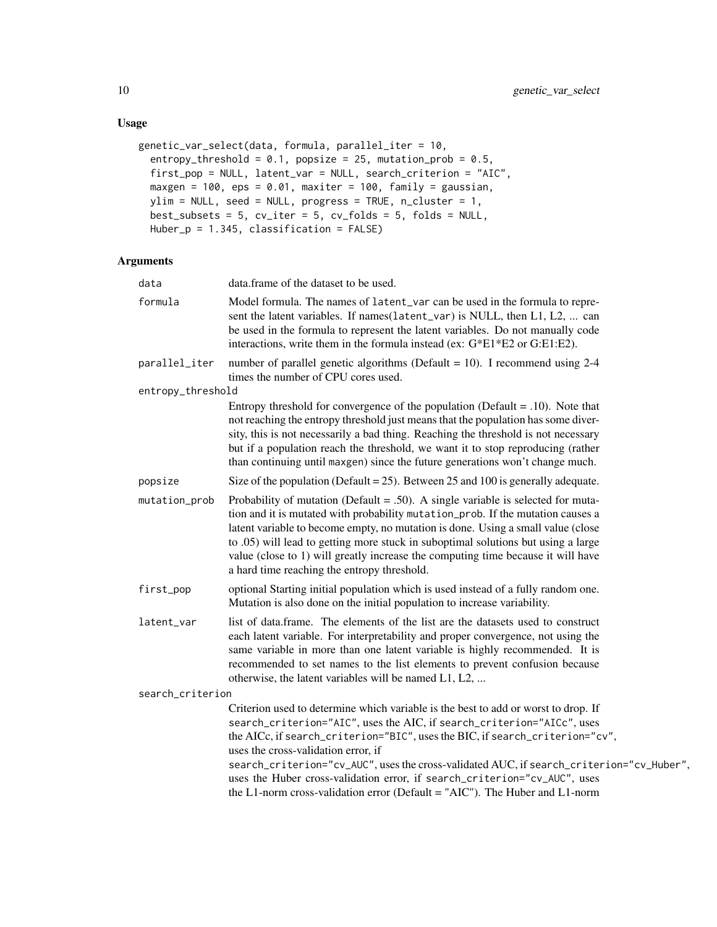# Usage

```
genetic_var_select(data, formula, parallel_iter = 10,
 entropy_threshold = 0.1, popsize = 25, mutation_prob = 0.5,
 first_pop = NULL, latent_var = NULL, search_criterion = "AIC",
 maxgen = 100, eps = 0.01, maxiter = 100, family = gaussian,
 ylim = NULL, seed = NULL, progress = TRUE, n_cluster = 1,
 best_subsets = 5, cv_iter = 5, cv_folds = 5, folds = NULL,
 Huber_p = 1.345, classification = FALSE)
```

| data              | data.frame of the dataset to be used.                                                                                                                                                                                                                                                                                                                                                                                                                                                                                                       |
|-------------------|---------------------------------------------------------------------------------------------------------------------------------------------------------------------------------------------------------------------------------------------------------------------------------------------------------------------------------------------------------------------------------------------------------------------------------------------------------------------------------------------------------------------------------------------|
| formula           | Model formula. The names of latent_var can be used in the formula to repre-<br>sent the latent variables. If names (latent_var) is NULL, then L1, L2,  can<br>be used in the formula to represent the latent variables. Do not manually code<br>interactions, write them in the formula instead (ex: G*E1*E2 or G:E1:E2).                                                                                                                                                                                                                   |
| parallel_iter     | number of parallel genetic algorithms (Default = 10). I recommend using $2-4$<br>times the number of CPU cores used.                                                                                                                                                                                                                                                                                                                                                                                                                        |
| entropy_threshold |                                                                                                                                                                                                                                                                                                                                                                                                                                                                                                                                             |
|                   | Entropy threshold for convergence of the population (Default $= .10$ ). Note that<br>not reaching the entropy threshold just means that the population has some diver-<br>sity, this is not necessarily a bad thing. Reaching the threshold is not necessary<br>but if a population reach the threshold, we want it to stop reproducing (rather<br>than continuing until maxgen) since the future generations won't change much.                                                                                                            |
| popsize           | Size of the population (Default = $25$ ). Between 25 and 100 is generally adequate.                                                                                                                                                                                                                                                                                                                                                                                                                                                         |
| mutation_prob     | Probability of mutation (Default = .50). A single variable is selected for muta-<br>tion and it is mutated with probability mutation_prob. If the mutation causes a<br>latent variable to become empty, no mutation is done. Using a small value (close<br>to .05) will lead to getting more stuck in suboptimal solutions but using a large<br>value (close to 1) will greatly increase the computing time because it will have<br>a hard time reaching the entropy threshold.                                                             |
| first_pop         | optional Starting initial population which is used instead of a fully random one.<br>Mutation is also done on the initial population to increase variability.                                                                                                                                                                                                                                                                                                                                                                               |
| latent_var        | list of data.frame. The elements of the list are the datasets used to construct<br>each latent variable. For interpretability and proper convergence, not using the<br>same variable in more than one latent variable is highly recommended. It is<br>recommended to set names to the list elements to prevent confusion because<br>otherwise, the latent variables will be named L1, L2,                                                                                                                                                   |
| search_criterion  |                                                                                                                                                                                                                                                                                                                                                                                                                                                                                                                                             |
|                   | Criterion used to determine which variable is the best to add or worst to drop. If<br>search_criterion="AIC", uses the AIC, if search_criterion="AICc", uses<br>the AICc, if search_criterion="BIC", uses the BIC, if search_criterion="cv",<br>uses the cross-validation error, if<br>search_criterion="cv_AUC", uses the cross-validated AUC, if search_criterion="cv_Huber",<br>uses the Huber cross-validation error, if search_criterion="cv_AUC", uses<br>the L1-norm cross-validation error (Default = "AIC"). The Huber and L1-norm |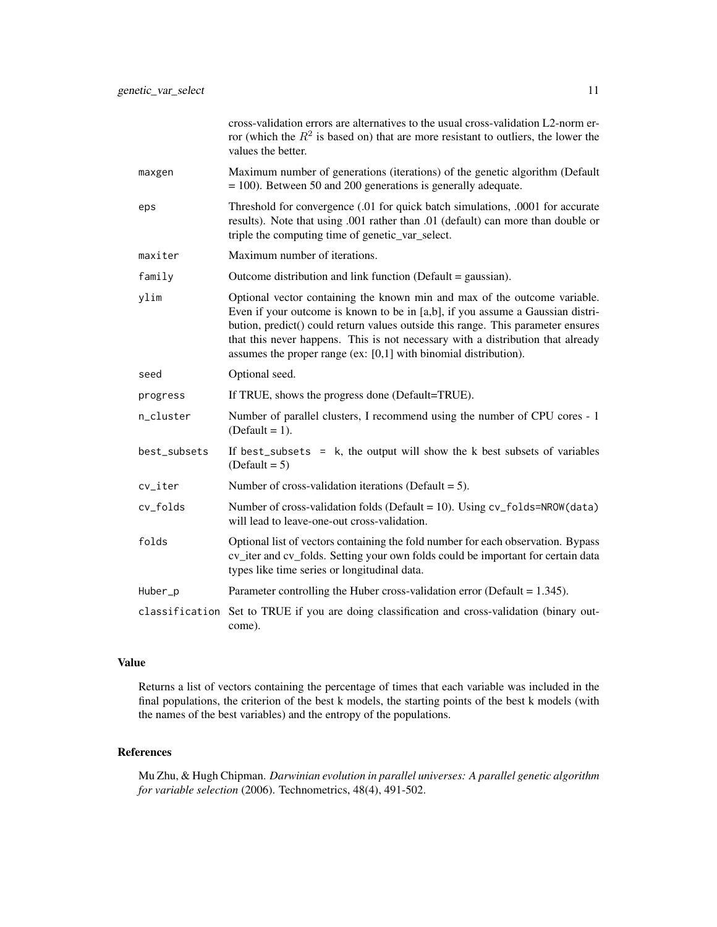|              | cross-validation errors are alternatives to the usual cross-validation L2-norm er-<br>ror (which the $R^2$ is based on) that are more resistant to outliers, the lower the<br>values the better.                                                                                                                                                                                                         |
|--------------|----------------------------------------------------------------------------------------------------------------------------------------------------------------------------------------------------------------------------------------------------------------------------------------------------------------------------------------------------------------------------------------------------------|
| maxgen       | Maximum number of generations (iterations) of the genetic algorithm (Default<br>$= 100$ ). Between 50 and 200 generations is generally adequate.                                                                                                                                                                                                                                                         |
| eps          | Threshold for convergence (.01 for quick batch simulations, .0001 for accurate<br>results). Note that using .001 rather than .01 (default) can more than double or<br>triple the computing time of genetic_var_select.                                                                                                                                                                                   |
| maxiter      | Maximum number of iterations.                                                                                                                                                                                                                                                                                                                                                                            |
| family       | Outcome distribution and link function (Default = gaussian).                                                                                                                                                                                                                                                                                                                                             |
| ylim         | Optional vector containing the known min and max of the outcome variable.<br>Even if your outcome is known to be in [a,b], if you assume a Gaussian distri-<br>bution, predict() could return values outside this range. This parameter ensures<br>that this never happens. This is not necessary with a distribution that already<br>assumes the proper range (ex: $[0,1]$ with binomial distribution). |
| seed         | Optional seed.                                                                                                                                                                                                                                                                                                                                                                                           |
| progress     | If TRUE, shows the progress done (Default=TRUE).                                                                                                                                                                                                                                                                                                                                                         |
| n_cluster    | Number of parallel clusters, I recommend using the number of CPU cores - 1<br>$(Default = 1).$                                                                                                                                                                                                                                                                                                           |
| best_subsets | If best_subsets = $k$ , the output will show the k best subsets of variables<br>$(Default = 5)$                                                                                                                                                                                                                                                                                                          |
| cv_iter      | Number of cross-validation iterations (Default $= 5$ ).                                                                                                                                                                                                                                                                                                                                                  |
| cv_folds     | Number of cross-validation folds (Default = 10). Using $cv_f$ olds=NROW(data)<br>will lead to leave-one-out cross-validation.                                                                                                                                                                                                                                                                            |
| folds        | Optional list of vectors containing the fold number for each observation. Bypass<br>cv_iter and cv_folds. Setting your own folds could be important for certain data<br>types like time series or longitudinal data.                                                                                                                                                                                     |
| Huber_p      | Parameter controlling the Huber cross-validation error (Default = $1.345$ ).                                                                                                                                                                                                                                                                                                                             |
|              | classification Set to TRUE if you are doing classification and cross-validation (binary out-<br>come).                                                                                                                                                                                                                                                                                                   |

Returns a list of vectors containing the percentage of times that each variable was included in the final populations, the criterion of the best k models, the starting points of the best k models (with the names of the best variables) and the entropy of the populations.

# References

Mu Zhu, & Hugh Chipman. *Darwinian evolution in parallel universes: A parallel genetic algorithm for variable selection* (2006). Technometrics, 48(4), 491-502.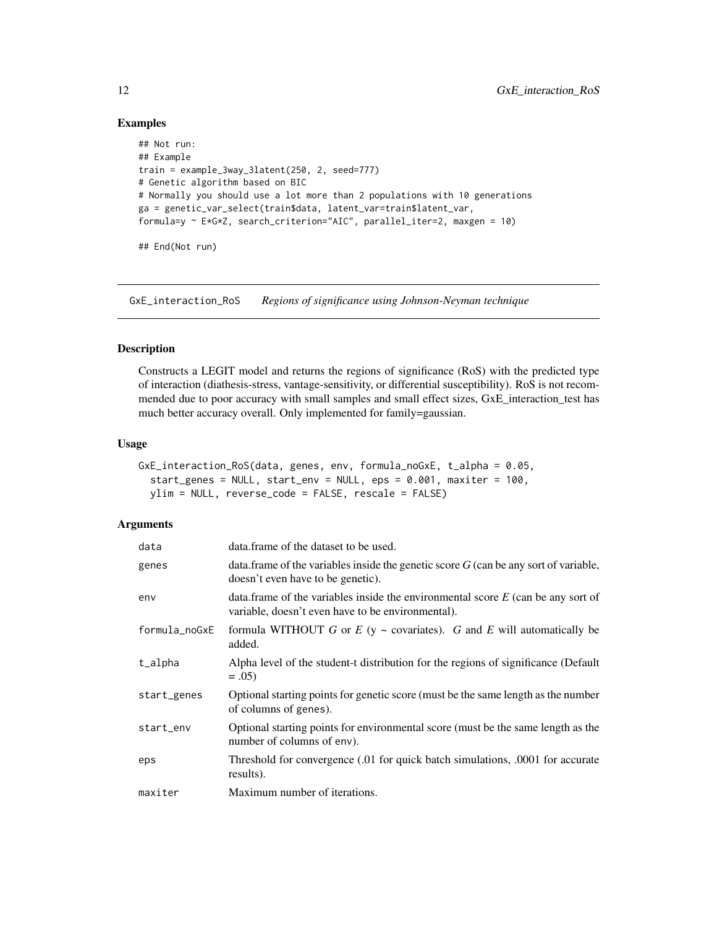#### Examples

```
## Not run:
## Example
train = example_3way_3latent(250, 2, seed=777)
# Genetic algorithm based on BIC
# Normally you should use a lot more than 2 populations with 10 generations
ga = genetic_var_select(train$data, latent_var=train$latent_var,
formula=y ~ E*G*Z, search_criterion="AIC", parallel_iter=2, maxgen = 10)
## End(Not run)
```
GxE\_interaction\_RoS *Regions of significance using Johnson-Neyman technique*

#### Description

Constructs a LEGIT model and returns the regions of significance (RoS) with the predicted type of interaction (diathesis-stress, vantage-sensitivity, or differential susceptibility). RoS is not recommended due to poor accuracy with small samples and small effect sizes, GxE\_interaction\_test has much better accuracy overall. Only implemented for family=gaussian.

#### Usage

```
GxE_interaction_RoS(data, genes, env, formula_noGxE, t_alpha = 0.05,
  start_genes = NULL, start_env = NULL, eps = 0.001, maxiter = 100,
 ylim = NULL, reverse_code = FALSE, rescale = FALSE)
```

| data          | data.frame of the dataset to be used.                                                                                                    |
|---------------|------------------------------------------------------------------------------------------------------------------------------------------|
| genes         | data. frame of the variables inside the genetic score $G$ (can be any sort of variable,<br>doesn't even have to be genetic).             |
| env           | data. frame of the variables inside the environmental score $E$ (can be any sort of<br>variable, doesn't even have to be environmental). |
| formula_noGxE | formula WITHOUT G or $E$ (y ~ covariates). G and E will automatically be<br>added.                                                       |
| t_alpha       | Alpha level of the student-t distribution for the regions of significance (Default<br>$=.05)$                                            |
| start_genes   | Optional starting points for genetic score (must be the same length as the number<br>of columns of genes).                               |
| start_env     | Optional starting points for environmental score (must be the same length as the<br>number of columns of env).                           |
| eps           | Threshold for convergence (.01 for quick batch simulations, .0001 for accurate<br>results).                                              |
| maxiter       | Maximum number of iterations.                                                                                                            |

<span id="page-11-0"></span>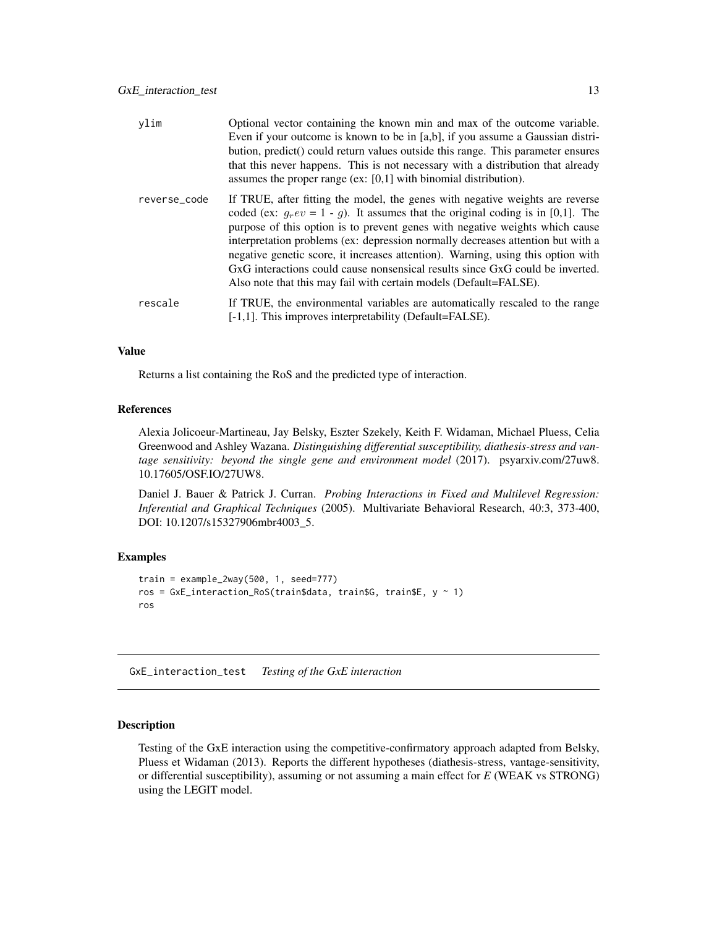<span id="page-12-0"></span>

| ylim         | Optional vector containing the known min and max of the outcome variable.<br>Even if your outcome is known to be in [a,b], if you assume a Gaussian distri-<br>bution, predict() could return values outside this range. This parameter ensures<br>that this never happens. This is not necessary with a distribution that already<br>assumes the proper range (ex: $[0,1]$ with binomial distribution).                                                                                                                                                                          |
|--------------|-----------------------------------------------------------------------------------------------------------------------------------------------------------------------------------------------------------------------------------------------------------------------------------------------------------------------------------------------------------------------------------------------------------------------------------------------------------------------------------------------------------------------------------------------------------------------------------|
| reverse_code | If TRUE, after fitting the model, the genes with negative weights are reverse<br>coded (ex: $q_r ev = 1 - q$ ). It assumes that the original coding is in [0,1]. The<br>purpose of this option is to prevent genes with negative weights which cause<br>interpretation problems (ex: depression normally decreases attention but with a<br>negative genetic score, it increases attention). Warning, using this option with<br>GxG interactions could cause nonsensical results since GxG could be inverted.<br>Also note that this may fail with certain models (Default=FALSE). |
| rescale      | If TRUE, the environmental variables are automatically rescaled to the range<br>[-1,1]. This improves interpretability (Default=FALSE).                                                                                                                                                                                                                                                                                                                                                                                                                                           |

Returns a list containing the RoS and the predicted type of interaction.

# References

Alexia Jolicoeur-Martineau, Jay Belsky, Eszter Szekely, Keith F. Widaman, Michael Pluess, Celia Greenwood and Ashley Wazana. *Distinguishing differential susceptibility, diathesis-stress and vantage sensitivity: beyond the single gene and environment model* (2017). psyarxiv.com/27uw8. 10.17605/OSF.IO/27UW8.

Daniel J. Bauer & Patrick J. Curran. *Probing Interactions in Fixed and Multilevel Regression: Inferential and Graphical Techniques* (2005). Multivariate Behavioral Research, 40:3, 373-400, DOI: 10.1207/s15327906mbr4003\_5.

# Examples

```
train = example_2way(500, 1, seed=777)
ros = GxE_interaction_RoS(train$data, train$G, train$E, y ~ 1)
ros
```
GxE\_interaction\_test *Testing of the GxE interaction*

# Description

Testing of the GxE interaction using the competitive-confirmatory approach adapted from Belsky, Pluess et Widaman (2013). Reports the different hypotheses (diathesis-stress, vantage-sensitivity, or differential susceptibility), assuming or not assuming a main effect for *E* (WEAK vs STRONG) using the LEGIT model.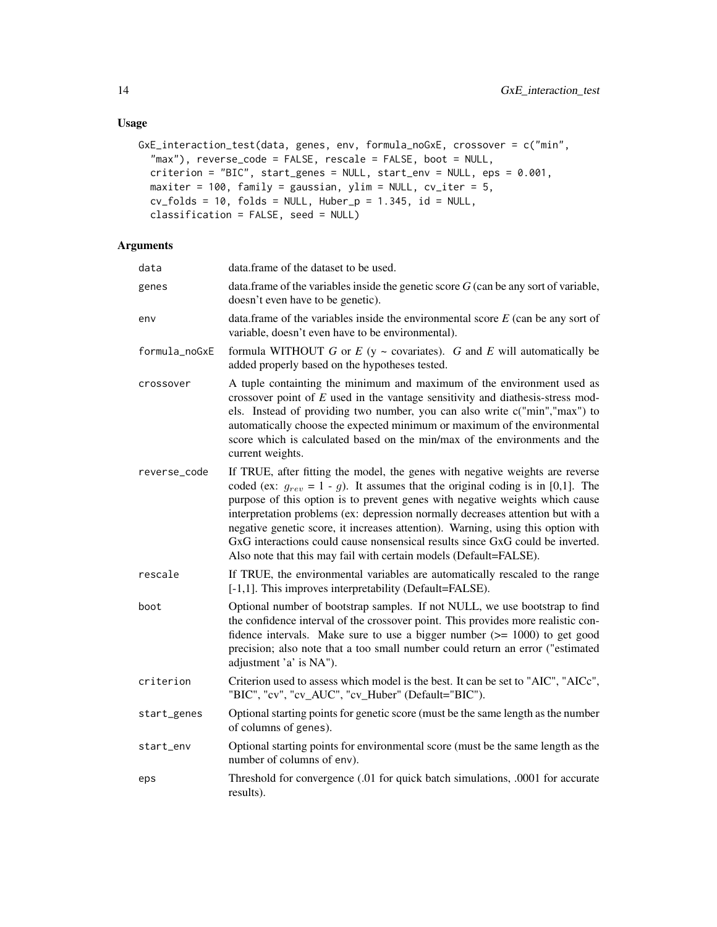```
GxE_interaction_test(data, genes, env, formula_noGxE, crossover = c("min",
  "max"), reverse_code = FALSE, rescale = FALSE, boot = NULL,
 criterion = "BIC", start_genes = NULL, start_env = NULL, eps = 0.001,
 maxiter = 100, family = gaussian, ylim = NULL, cv_iter = 5,
 cv_folds = 10, folds = NULL, Huber_p = 1.345, id = NULL,
 classification = FALSE, seed = NULL)
```

| data          | data.frame of the dataset to be used.                                                                                                                                                                                                                                                                                                                                                                                                                                                                                                                                              |
|---------------|------------------------------------------------------------------------------------------------------------------------------------------------------------------------------------------------------------------------------------------------------------------------------------------------------------------------------------------------------------------------------------------------------------------------------------------------------------------------------------------------------------------------------------------------------------------------------------|
| genes         | data.frame of the variables inside the genetic score $G$ (can be any sort of variable,<br>doesn't even have to be genetic).                                                                                                                                                                                                                                                                                                                                                                                                                                                        |
| env           | data.frame of the variables inside the environmental score $E$ (can be any sort of<br>variable, doesn't even have to be environmental).                                                                                                                                                                                                                                                                                                                                                                                                                                            |
| formula_noGxE | formula WITHOUT G or $E$ (y ~ covariates). G and E will automatically be<br>added properly based on the hypotheses tested.                                                                                                                                                                                                                                                                                                                                                                                                                                                         |
| crossover     | A tuple containting the minimum and maximum of the environment used as<br>crossover point of $E$ used in the vantage sensitivity and diathesis-stress mod-<br>els. Instead of providing two number, you can also write c("min","max") to<br>automatically choose the expected minimum or maximum of the environmental<br>score which is calculated based on the min/max of the environments and the<br>current weights.                                                                                                                                                            |
| reverse_code  | If TRUE, after fitting the model, the genes with negative weights are reverse<br>coded (ex: $g_{rev} = 1 - g$ ). It assumes that the original coding is in [0,1]. The<br>purpose of this option is to prevent genes with negative weights which cause<br>interpretation problems (ex: depression normally decreases attention but with a<br>negative genetic score, it increases attention). Warning, using this option with<br>GxG interactions could cause nonsensical results since GxG could be inverted.<br>Also note that this may fail with certain models (Default=FALSE). |
| rescale       | If TRUE, the environmental variables are automatically rescaled to the range<br>[-1,1]. This improves interpretability (Default=FALSE).                                                                                                                                                                                                                                                                                                                                                                                                                                            |
| boot          | Optional number of bootstrap samples. If not NULL, we use bootstrap to find<br>the confidence interval of the crossover point. This provides more realistic con-<br>fidence intervals. Make sure to use a bigger number $(>= 1000)$ to get good<br>precision; also note that a too small number could return an error ("estimated<br>adjustment 'a' is NA").                                                                                                                                                                                                                       |
| criterion     | Criterion used to assess which model is the best. It can be set to "AIC", "AICc",<br>"BIC", "cv", "cv_AUC", "cv_Huber" (Default="BIC").                                                                                                                                                                                                                                                                                                                                                                                                                                            |
| start_genes   | Optional starting points for genetic score (must be the same length as the number<br>of columns of genes).                                                                                                                                                                                                                                                                                                                                                                                                                                                                         |
| start_env     | Optional starting points for environmental score (must be the same length as the<br>number of columns of env).                                                                                                                                                                                                                                                                                                                                                                                                                                                                     |
| eps           | Threshold for convergence (.01 for quick batch simulations, .0001 for accurate<br>results).                                                                                                                                                                                                                                                                                                                                                                                                                                                                                        |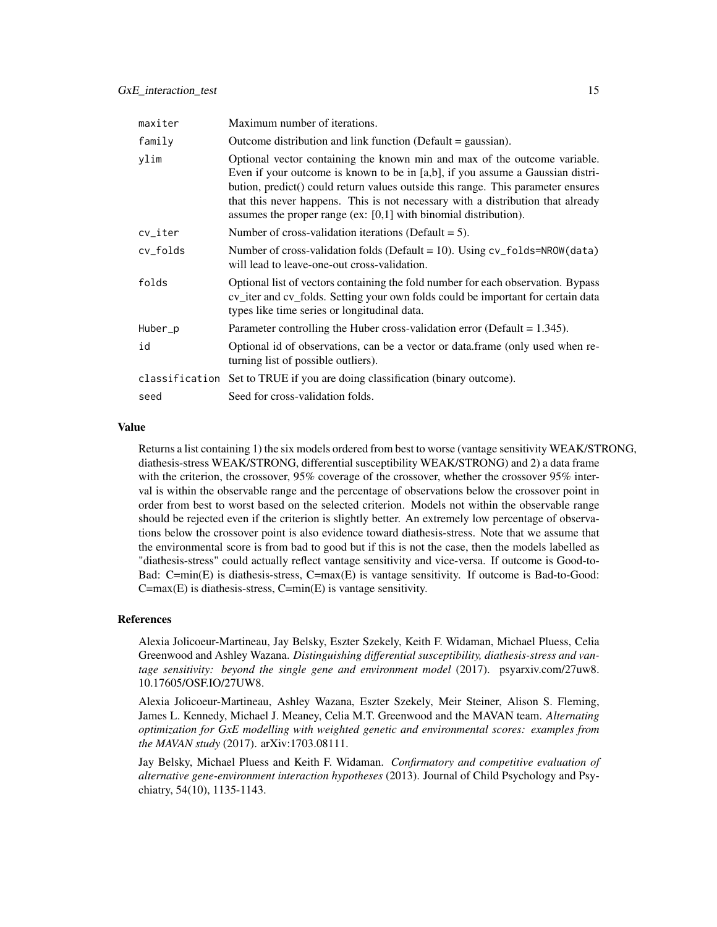| maxiter  | Maximum number of iterations.                                                                                                                                                                                                                                                                                                                                                                            |
|----------|----------------------------------------------------------------------------------------------------------------------------------------------------------------------------------------------------------------------------------------------------------------------------------------------------------------------------------------------------------------------------------------------------------|
| family   | Outcome distribution and link function (Default $=$ gaussian).                                                                                                                                                                                                                                                                                                                                           |
| ylim     | Optional vector containing the known min and max of the outcome variable.<br>Even if your outcome is known to be in [a,b], if you assume a Gaussian distri-<br>bution, predict() could return values outside this range. This parameter ensures<br>that this never happens. This is not necessary with a distribution that already<br>assumes the proper range (ex: $[0,1]$ with binomial distribution). |
| cv_iter  | Number of cross-validation iterations (Default $= 5$ ).                                                                                                                                                                                                                                                                                                                                                  |
| cv_folds | Number of cross-validation folds (Default = 10). Using $cv_f$ folds=NROW(data)<br>will lead to leave-one-out cross-validation.                                                                                                                                                                                                                                                                           |
| folds    | Optional list of vectors containing the fold number for each observation. Bypass<br>cv_iter and cv_folds. Setting your own folds could be important for certain data<br>types like time series or longitudinal data.                                                                                                                                                                                     |
| Huber_p  | Parameter controlling the Huber cross-validation error (Default = $1.345$ ).                                                                                                                                                                                                                                                                                                                             |
| id       | Optional id of observations, can be a vector or data.frame (only used when re-<br>turning list of possible outliers).                                                                                                                                                                                                                                                                                    |
|          | classification Set to TRUE if you are doing classification (binary outcome).                                                                                                                                                                                                                                                                                                                             |
| seed     | Seed for cross-validation folds.                                                                                                                                                                                                                                                                                                                                                                         |

Returns a list containing 1) the six models ordered from best to worse (vantage sensitivity WEAK/STRONG, diathesis-stress WEAK/STRONG, differential susceptibility WEAK/STRONG) and 2) a data frame with the criterion, the crossover, 95% coverage of the crossover, whether the crossover 95% interval is within the observable range and the percentage of observations below the crossover point in order from best to worst based on the selected criterion. Models not within the observable range should be rejected even if the criterion is slightly better. An extremely low percentage of observations below the crossover point is also evidence toward diathesis-stress. Note that we assume that the environmental score is from bad to good but if this is not the case, then the models labelled as "diathesis-stress" could actually reflect vantage sensitivity and vice-versa. If outcome is Good-to-Bad: C=min(E) is diathesis-stress, C=max(E) is vantage sensitivity. If outcome is Bad-to-Good:  $C = max(E)$  is diathesis-stress,  $C = min(E)$  is vantage sensitivity.

#### References

Alexia Jolicoeur-Martineau, Jay Belsky, Eszter Szekely, Keith F. Widaman, Michael Pluess, Celia Greenwood and Ashley Wazana. *Distinguishing differential susceptibility, diathesis-stress and vantage sensitivity: beyond the single gene and environment model* (2017). psyarxiv.com/27uw8. 10.17605/OSF.IO/27UW8.

Alexia Jolicoeur-Martineau, Ashley Wazana, Eszter Szekely, Meir Steiner, Alison S. Fleming, James L. Kennedy, Michael J. Meaney, Celia M.T. Greenwood and the MAVAN team. *Alternating optimization for GxE modelling with weighted genetic and environmental scores: examples from the MAVAN study* (2017). arXiv:1703.08111.

Jay Belsky, Michael Pluess and Keith F. Widaman. *Confirmatory and competitive evaluation of alternative gene-environment interaction hypotheses* (2013). Journal of Child Psychology and Psychiatry, 54(10), 1135-1143.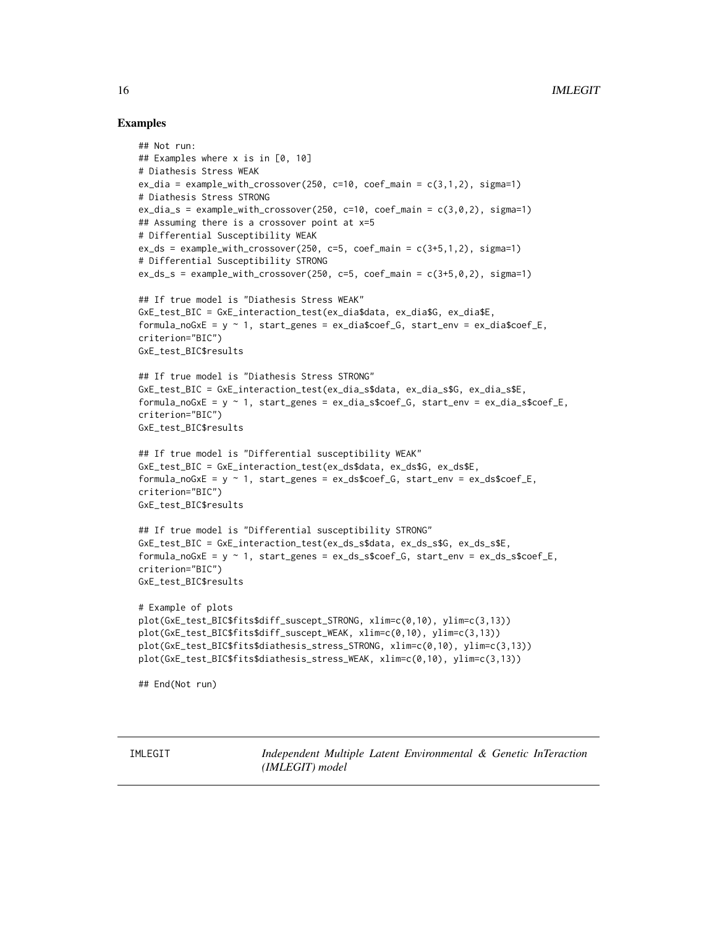# Examples

```
## Not run:
## Examples where x is in [0, 10]
# Diathesis Stress WEAK
ex\_dia = example\_with\_crossover(250, c=10, coef\_main = c(3,1,2), sigma=1)# Diathesis Stress STRONG
ex_dia_s = example_with_crossover(250, c=10, coef_main = c(3,0,2), sigma=1)
## Assuming there is a crossover point at x=5
# Differential Susceptibility WEAK
ex_d s = example_with_crossover(250, c=5, coef_main = c(3+5,1,2), sigma=1)# Differential Susceptibility STRONG
ex\_ds\_s = example\_with\_crossover(250, c=5, coef\_main = c(3+5,0,2), sigma=1)## If true model is "Diathesis Stress WEAK"
GxE_test_BIC = GxE_interaction_test(ex_dia$data, ex_dia$G, ex_dia$E,
formula_noGxE = y \sim 1, start_genes = ex_dia$coef_G, start_env = ex_dia$coef_E,
criterion="BIC")
GxE_test_BIC$results
## If true model is "Diathesis Stress STRONG"
GxE_test_BIC = GxE_interaction_test(ex_dia_s$data, ex_dia_s$G, ex_dia_s$E,
formula_noGxE = y \sim 1, start_genes = ex_dia_s$coef_G, start_env = ex_dia_s$coef_E,
criterion="BIC")
GxE_test_BIC$results
## If true model is "Differential susceptibility WEAK"
GxE_test_BIC = GxE_interaction_test(ex_ds$data, ex_ds$G, ex_ds$E,
formula\_noGxE = y \sim 1, start\_genes = ex\_ds\%coef_G, start\_env = ex\_ds\%coef_E,
criterion="BIC")
GxE_test_BIC$results
## If true model is "Differential susceptibility STRONG"
GxE_test_BIC = GxE_interaction_test(ex_ds_s$data, ex_ds_s$G, ex_ds_s$E,
formula_noGxE = y ~ 1, start_genes = ex_ds_s$coef_G, start_env = ex_ds_s$coef_E,
criterion="BIC")
GxE_test_BIC$results
# Example of plots
plot(GxE_test_BIC$fits$diff_suscept_STRONG, xlim=c(0,10), ylim=c(3,13))
plot(GxE_test_BIC$fits$diff_suscept_WEAK, xlim=c(0,10), ylim=c(3,13))
plot(GxE_test_BIC$fits$diathesis_stress_STRONG, xlim=c(0,10), ylim=c(3,13))
plot(GxE_test_BIC$fits$diathesis_stress_WEAK, xlim=c(0,10), ylim=c(3,13))
## End(Not run)
```
IMLEGIT *Independent Multiple Latent Environmental & Genetic InTeraction (IMLEGIT) model*

<span id="page-15-0"></span>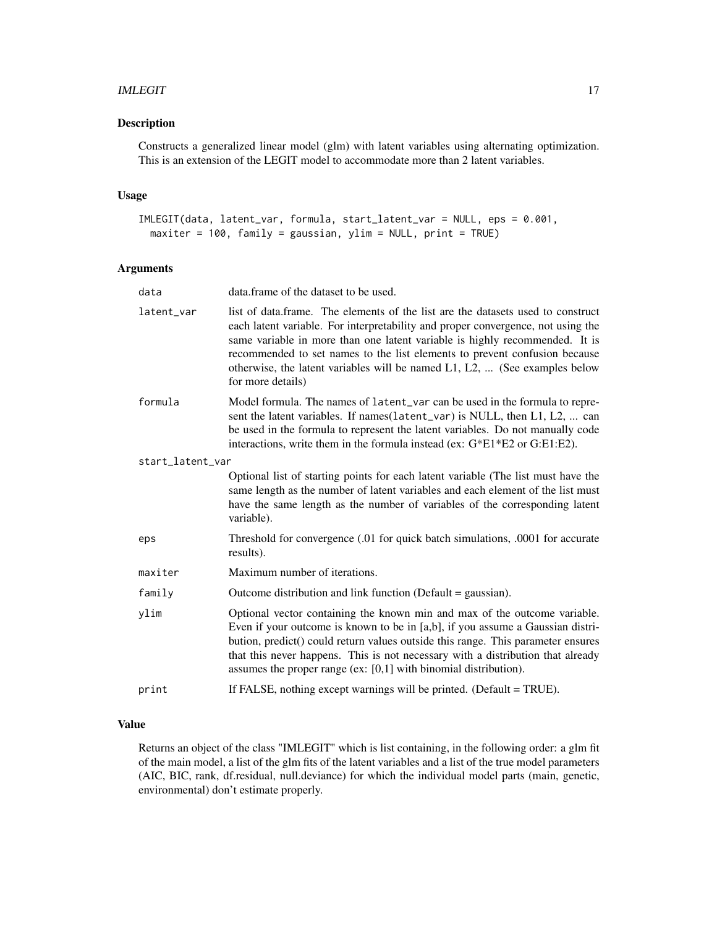#### IMLEGIT 17

# Description

Constructs a generalized linear model (glm) with latent variables using alternating optimization. This is an extension of the LEGIT model to accommodate more than 2 latent variables.

# Usage

```
IMLEGIT(data, latent_var, formula, start_latent_var = NULL, eps = 0.001,
 maxiter = 100, family = gaussian, ylim = NULL, print = TRUE)
```
#### Arguments

| data             | data.frame of the dataset to be used.                                                                                                                                                                                                                                                                                                                                                                                               |
|------------------|-------------------------------------------------------------------------------------------------------------------------------------------------------------------------------------------------------------------------------------------------------------------------------------------------------------------------------------------------------------------------------------------------------------------------------------|
| latent_var       | list of data.frame. The elements of the list are the datasets used to construct<br>each latent variable. For interpretability and proper convergence, not using the<br>same variable in more than one latent variable is highly recommended. It is<br>recommended to set names to the list elements to prevent confusion because<br>otherwise, the latent variables will be named L1, L2,  (See examples below<br>for more details) |
| formula          | Model formula. The names of latent_var can be used in the formula to repre-<br>sent the latent variables. If names(latent_var) is NULL, then L1, L2,  can<br>be used in the formula to represent the latent variables. Do not manually code<br>interactions, write them in the formula instead (ex: G*E1*E2 or G:E1:E2).                                                                                                            |
| start_latent_var |                                                                                                                                                                                                                                                                                                                                                                                                                                     |
|                  | Optional list of starting points for each latent variable (The list must have the<br>same length as the number of latent variables and each element of the list must<br>have the same length as the number of variables of the corresponding latent<br>variable).                                                                                                                                                                   |
| eps              | Threshold for convergence (.01 for quick batch simulations, .0001 for accurate<br>results).                                                                                                                                                                                                                                                                                                                                         |
| maxiter          | Maximum number of iterations.                                                                                                                                                                                                                                                                                                                                                                                                       |
| family           | Outcome distribution and link function (Default = gaussian).                                                                                                                                                                                                                                                                                                                                                                        |
| ylim             | Optional vector containing the known min and max of the outcome variable.<br>Even if your outcome is known to be in [a,b], if you assume a Gaussian distri-<br>bution, predict() could return values outside this range. This parameter ensures<br>that this never happens. This is not necessary with a distribution that already<br>assumes the proper range (ex: $[0,1]$ with binomial distribution).                            |
| print            | If FALSE, nothing except warnings will be printed. (Default = TRUE).                                                                                                                                                                                                                                                                                                                                                                |
|                  |                                                                                                                                                                                                                                                                                                                                                                                                                                     |

# Value

Returns an object of the class "IMLEGIT" which is list containing, in the following order: a glm fit of the main model, a list of the glm fits of the latent variables and a list of the true model parameters (AIC, BIC, rank, df.residual, null.deviance) for which the individual model parts (main, genetic, environmental) don't estimate properly.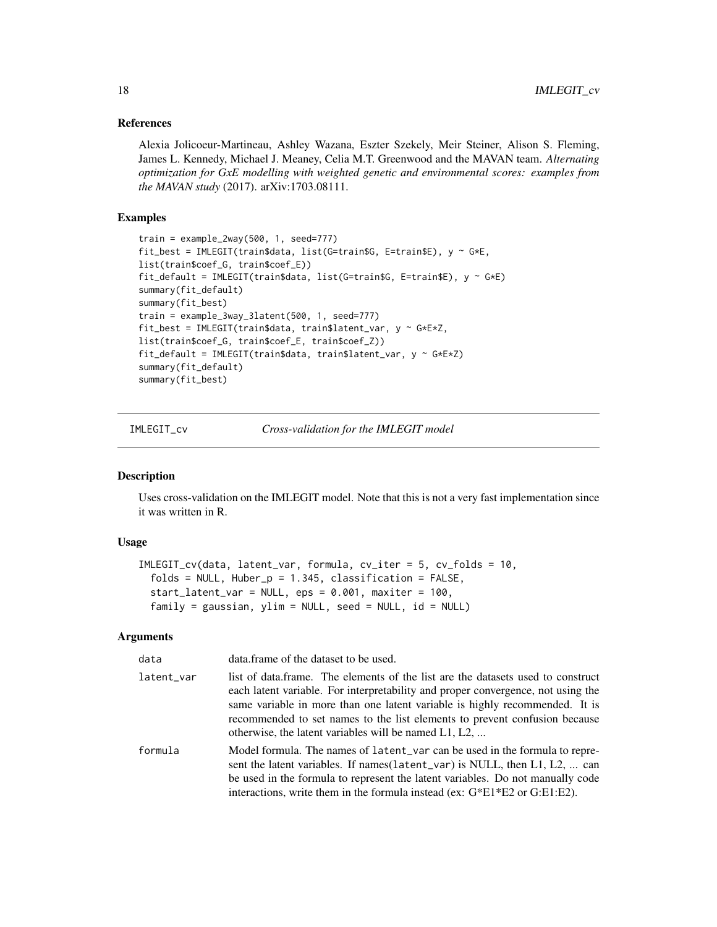#### <span id="page-17-0"></span>References

Alexia Jolicoeur-Martineau, Ashley Wazana, Eszter Szekely, Meir Steiner, Alison S. Fleming, James L. Kennedy, Michael J. Meaney, Celia M.T. Greenwood and the MAVAN team. *Alternating optimization for GxE modelling with weighted genetic and environmental scores: examples from the MAVAN study* (2017). arXiv:1703.08111.

## Examples

```
train = example_2way(500, 1, seed=777)
fit_best = IMLEGIT(train$data, list(G=train$G, E=train$E), y ~ G*E,
list(train$coef_G, train$coef_E))
fit_default = IMLEGIT(train$data, list(G=train$G, E=train$E), y ~ G*E)
summary(fit_default)
summary(fit_best)
train = example_3way_3latent(500, 1, seed=777)
fit_best = IMLEGIT(train$data, train$latent_var, y ~ G*E*Z,
list(train$coef_G, train$coef_E, train$coef_Z))
fit_default = IMLEGIT(train$data, train$latent_var, y ~ G*E*Z)
summary(fit_default)
summary(fit_best)
```
IMLEGIT\_cv *Cross-validation for the IMLEGIT model*

#### Description

Uses cross-validation on the IMLEGIT model. Note that this is not a very fast implementation since it was written in R.

#### Usage

```
IMLEGIT_cv(data, latent_var, formula, cv_iter = 5, cv_folds = 10,
  folds = NULL, Huber_p = 1.345, classification = FALSE,
  start<sup>1</sup>atent_var = NULL, eps = 0.001, maxiter = 100,
  family = gaussian, ylim = NULL, seed = NULL, id = NULL)
```

| data       | data.frame of the dataset to be used.                                                                                                                                                                                                                                                                                                                                                        |
|------------|----------------------------------------------------------------------------------------------------------------------------------------------------------------------------------------------------------------------------------------------------------------------------------------------------------------------------------------------------------------------------------------------|
| latent_var | list of data.frame. The elements of the list are the datasets used to construct<br>each latent variable. For interpretability and proper convergence, not using the<br>same variable in more than one latent variable is highly recommended. It is<br>recommended to set names to the list elements to prevent confusion because<br>otherwise, the latent variables will be named $L1, L2, $ |
| formula    | Model formula. The names of latent var can be used in the formula to repre-<br>sent the latent variables. If names (latent_var) is NULL, then L1, L2,  can<br>be used in the formula to represent the latent variables. Do not manually code<br>interactions, write them in the formula instead (ex: $G*E1*E2$ or $G:E1:E2$ ).                                                               |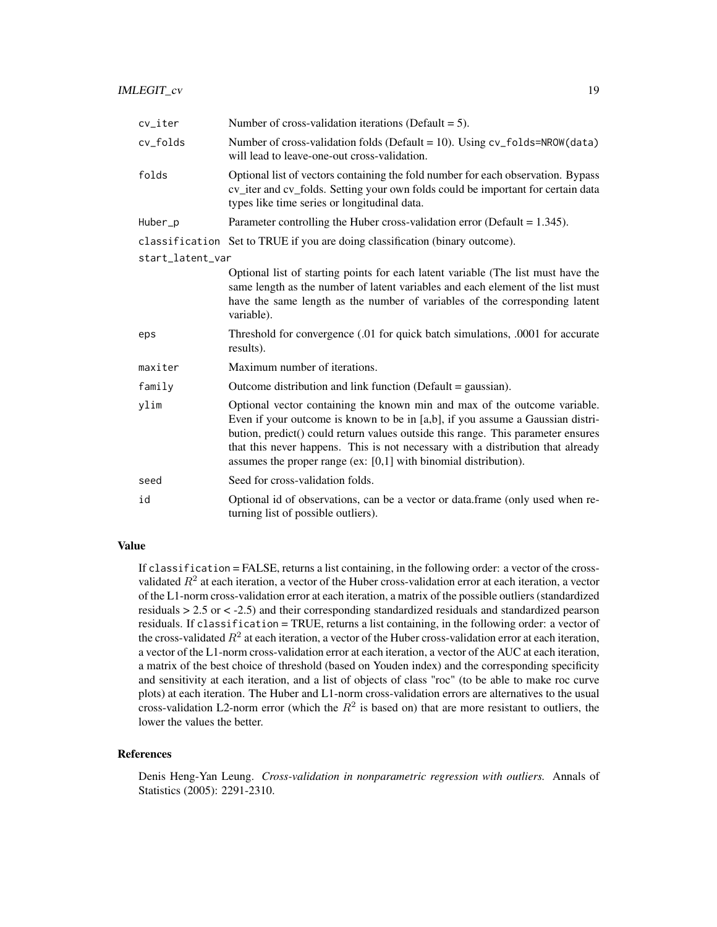| cv_iter          | Number of cross-validation iterations (Default $= 5$ ).                                                                                                                                                                                                                                                                                                                                                  |
|------------------|----------------------------------------------------------------------------------------------------------------------------------------------------------------------------------------------------------------------------------------------------------------------------------------------------------------------------------------------------------------------------------------------------------|
| cv_folds         | Number of cross-validation folds (Default = 10). Using cv_folds=NROW(data)<br>will lead to leave-one-out cross-validation.                                                                                                                                                                                                                                                                               |
| folds            | Optional list of vectors containing the fold number for each observation. Bypass<br>cv_iter and cv_folds. Setting your own folds could be important for certain data<br>types like time series or longitudinal data.                                                                                                                                                                                     |
| Huber_p          | Parameter controlling the Huber cross-validation error (Default = $1.345$ ).                                                                                                                                                                                                                                                                                                                             |
|                  | classification Set to TRUE if you are doing classification (binary outcome).                                                                                                                                                                                                                                                                                                                             |
| start_latent_var |                                                                                                                                                                                                                                                                                                                                                                                                          |
|                  | Optional list of starting points for each latent variable (The list must have the<br>same length as the number of latent variables and each element of the list must<br>have the same length as the number of variables of the corresponding latent<br>variable).                                                                                                                                        |
| eps              | Threshold for convergence (.01 for quick batch simulations, .0001 for accurate<br>results).                                                                                                                                                                                                                                                                                                              |
| maxiter          | Maximum number of iterations.                                                                                                                                                                                                                                                                                                                                                                            |
| family           | Outcome distribution and link function (Default = gaussian).                                                                                                                                                                                                                                                                                                                                             |
| ylim             | Optional vector containing the known min and max of the outcome variable.<br>Even if your outcome is known to be in [a,b], if you assume a Gaussian distri-<br>bution, predict() could return values outside this range. This parameter ensures<br>that this never happens. This is not necessary with a distribution that already<br>assumes the proper range (ex: $[0,1]$ with binomial distribution). |
| seed             | Seed for cross-validation folds.                                                                                                                                                                                                                                                                                                                                                                         |
| id               | Optional id of observations, can be a vector or data.frame (only used when re-<br>turning list of possible outliers).                                                                                                                                                                                                                                                                                    |

If classification = FALSE, returns a list containing, in the following order: a vector of the crossvalidated  $R^2$  at each iteration, a vector of the Huber cross-validation error at each iteration, a vector of the L1-norm cross-validation error at each iteration, a matrix of the possible outliers (standardized residuals > 2.5 or < -2.5) and their corresponding standardized residuals and standardized pearson residuals. If classification = TRUE, returns a list containing, in the following order: a vector of the cross-validated  $R^2$  at each iteration, a vector of the Huber cross-validation error at each iteration, a vector of the L1-norm cross-validation error at each iteration, a vector of the AUC at each iteration, a matrix of the best choice of threshold (based on Youden index) and the corresponding specificity and sensitivity at each iteration, and a list of objects of class "roc" (to be able to make roc curve plots) at each iteration. The Huber and L1-norm cross-validation errors are alternatives to the usual cross-validation L2-norm error (which the  $R^2$  is based on) that are more resistant to outliers, the lower the values the better.

#### References

Denis Heng-Yan Leung. *Cross-validation in nonparametric regression with outliers.* Annals of Statistics (2005): 2291-2310.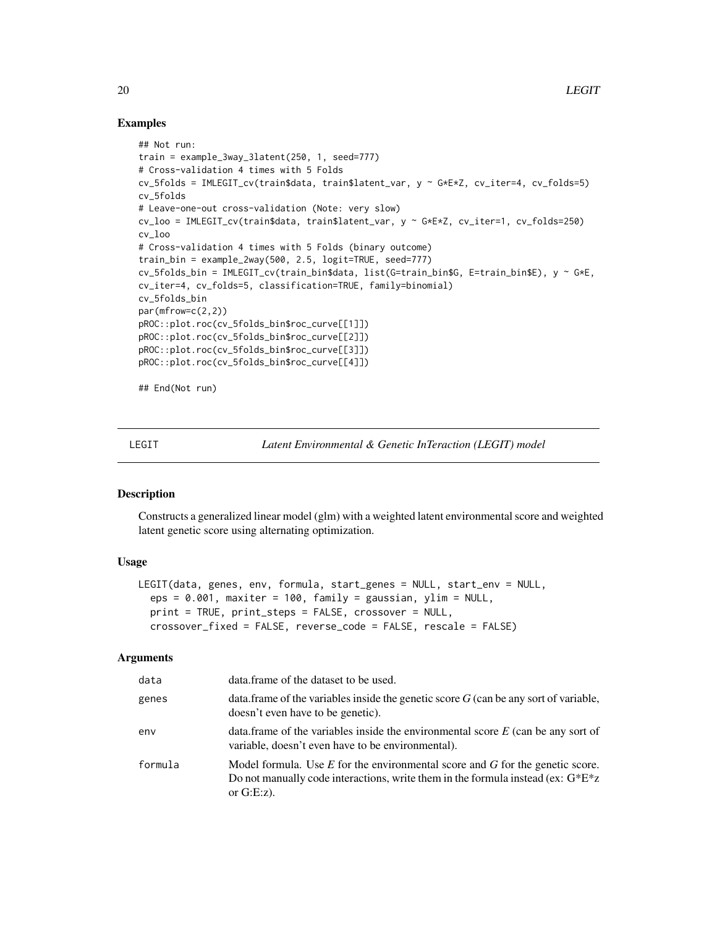# Examples

```
## Not run:
train = example_3way_3latent(250, 1, seed=777)
# Cross-validation 4 times with 5 Folds
cv_5folds = IMLEGIT_cv(train$data, train$latent_var, y ~ G*E*Z, cv_iter=4, cv_folds=5)
cv_5folds
# Leave-one-out cross-validation (Note: very slow)
cv_loo = IMLEGIT_cv(train$data, train$latent_var, y ~ G*E*Z, cv_iter=1, cv_folds=250)
cv_loo
# Cross-validation 4 times with 5 Folds (binary outcome)
train_bin = example_2way(500, 2.5, logit=TRUE, seed=777)
cv_5folds_bin = IMLEGIT_cv(train_bin$data, list(G=train_bin$G, E=train_bin$E), y ~ G*E,
cv_iter=4, cv_folds=5, classification=TRUE, family=binomial)
cv_5folds_bin
par(mfrow=c(2,2))
pROC::plot.roc(cv_5folds_bin$roc_curve[[1]])
pROC::plot.roc(cv_5folds_bin$roc_curve[[2]])
pROC::plot.roc(cv_5folds_bin$roc_curve[[3]])
pROC::plot.roc(cv_5folds_bin$roc_curve[[4]])
## End(Not run)
```
LEGIT *Latent Environmental & Genetic InTeraction (LEGIT) model*

#### Description

Constructs a generalized linear model (glm) with a weighted latent environmental score and weighted latent genetic score using alternating optimization.

#### Usage

```
LEGIT(data, genes, env, formula, start_genes = NULL, start_env = NULL,
  eps = 0.001, maxiter = 100, family = gaussian, ylim = NULL,
  print = TRUE, print_steps = FALSE, crossover = NULL,
  crossover_fixed = FALSE, reverse_code = FALSE, rescale = FALSE)
```

| data    | data.frame of the dataset to be used.                                                                                                                                                     |
|---------|-------------------------------------------------------------------------------------------------------------------------------------------------------------------------------------------|
| genes   | data. frame of the variables inside the genetic score $G$ (can be any sort of variable,<br>doesn't even have to be genetic).                                                              |
| env     | data. frame of the variables inside the environmental score $E$ (can be any sort of<br>variable, doesn't even have to be environmental).                                                  |
| formula | Model formula. Use $E$ for the environmental score and $G$ for the genetic score.<br>Do not manually code interactions, write them in the formula instead (ex: $G^*E^*z$<br>or $G.E:z$ ). |

<span id="page-19-0"></span>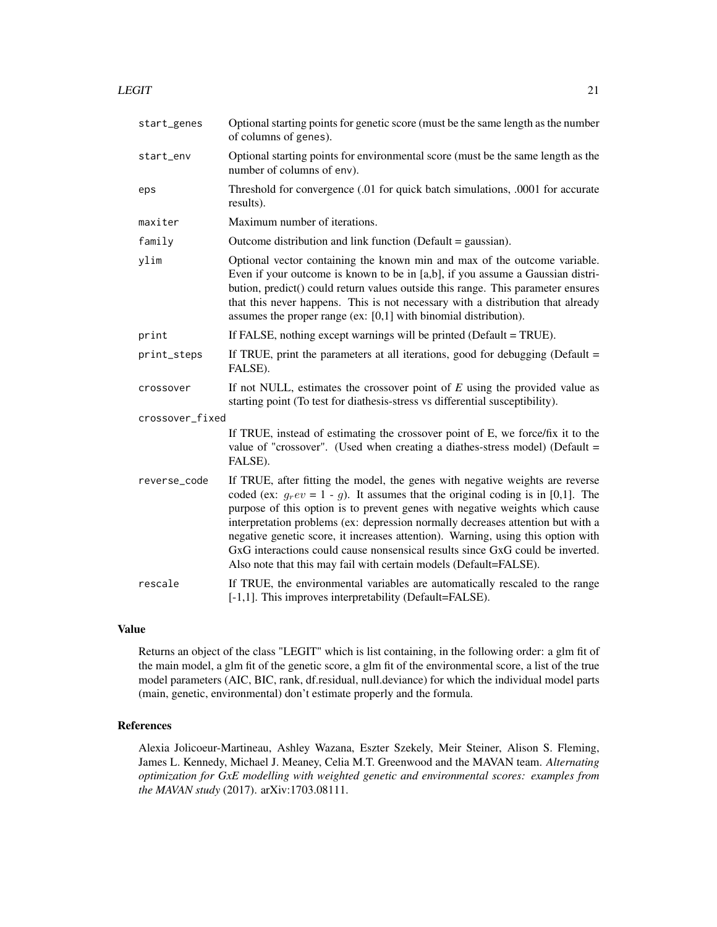#### $LEGIT$  21

| start_genes     | Optional starting points for genetic score (must be the same length as the number<br>of columns of genes).                                                                                                                                                                                                                                                                                                                                                                                                                                                                        |
|-----------------|-----------------------------------------------------------------------------------------------------------------------------------------------------------------------------------------------------------------------------------------------------------------------------------------------------------------------------------------------------------------------------------------------------------------------------------------------------------------------------------------------------------------------------------------------------------------------------------|
| start_env       | Optional starting points for environmental score (must be the same length as the<br>number of columns of env).                                                                                                                                                                                                                                                                                                                                                                                                                                                                    |
| eps             | Threshold for convergence (.01 for quick batch simulations, .0001 for accurate<br>results).                                                                                                                                                                                                                                                                                                                                                                                                                                                                                       |
| maxiter         | Maximum number of iterations.                                                                                                                                                                                                                                                                                                                                                                                                                                                                                                                                                     |
| family          | Outcome distribution and link function (Default = gaussian).                                                                                                                                                                                                                                                                                                                                                                                                                                                                                                                      |
| ylim            | Optional vector containing the known min and max of the outcome variable.<br>Even if your outcome is known to be in [a,b], if you assume a Gaussian distri-<br>bution, predict() could return values outside this range. This parameter ensures<br>that this never happens. This is not necessary with a distribution that already<br>assumes the proper range (ex: $[0,1]$ with binomial distribution).                                                                                                                                                                          |
| print           | If FALSE, nothing except warnings will be printed (Default = TRUE).                                                                                                                                                                                                                                                                                                                                                                                                                                                                                                               |
| print_steps     | If TRUE, print the parameters at all iterations, good for debugging (Default $=$<br>FALSE).                                                                                                                                                                                                                                                                                                                                                                                                                                                                                       |
| crossover       | If not NULL, estimates the crossover point of $E$ using the provided value as<br>starting point (To test for diathesis-stress vs differential susceptibility).                                                                                                                                                                                                                                                                                                                                                                                                                    |
| crossover_fixed |                                                                                                                                                                                                                                                                                                                                                                                                                                                                                                                                                                                   |
|                 | If TRUE, instead of estimating the crossover point of E, we force/fix it to the<br>value of "crossover". (Used when creating a diathes-stress model) (Default =<br>FALSE).                                                                                                                                                                                                                                                                                                                                                                                                        |
| reverse_code    | If TRUE, after fitting the model, the genes with negative weights are reverse<br>coded (ex: $g_r ev = 1 - g$ ). It assumes that the original coding is in [0,1]. The<br>purpose of this option is to prevent genes with negative weights which cause<br>interpretation problems (ex: depression normally decreases attention but with a<br>negative genetic score, it increases attention). Warning, using this option with<br>GxG interactions could cause nonsensical results since GxG could be inverted.<br>Also note that this may fail with certain models (Default=FALSE). |
| rescale         | If TRUE, the environmental variables are automatically rescaled to the range<br>[-1,1]. This improves interpretability (Default=FALSE).                                                                                                                                                                                                                                                                                                                                                                                                                                           |

# Value

Returns an object of the class "LEGIT" which is list containing, in the following order: a glm fit of the main model, a glm fit of the genetic score, a glm fit of the environmental score, a list of the true model parameters (AIC, BIC, rank, df.residual, null.deviance) for which the individual model parts (main, genetic, environmental) don't estimate properly and the formula.

#### References

Alexia Jolicoeur-Martineau, Ashley Wazana, Eszter Szekely, Meir Steiner, Alison S. Fleming, James L. Kennedy, Michael J. Meaney, Celia M.T. Greenwood and the MAVAN team. *Alternating optimization for GxE modelling with weighted genetic and environmental scores: examples from the MAVAN study* (2017). arXiv:1703.08111.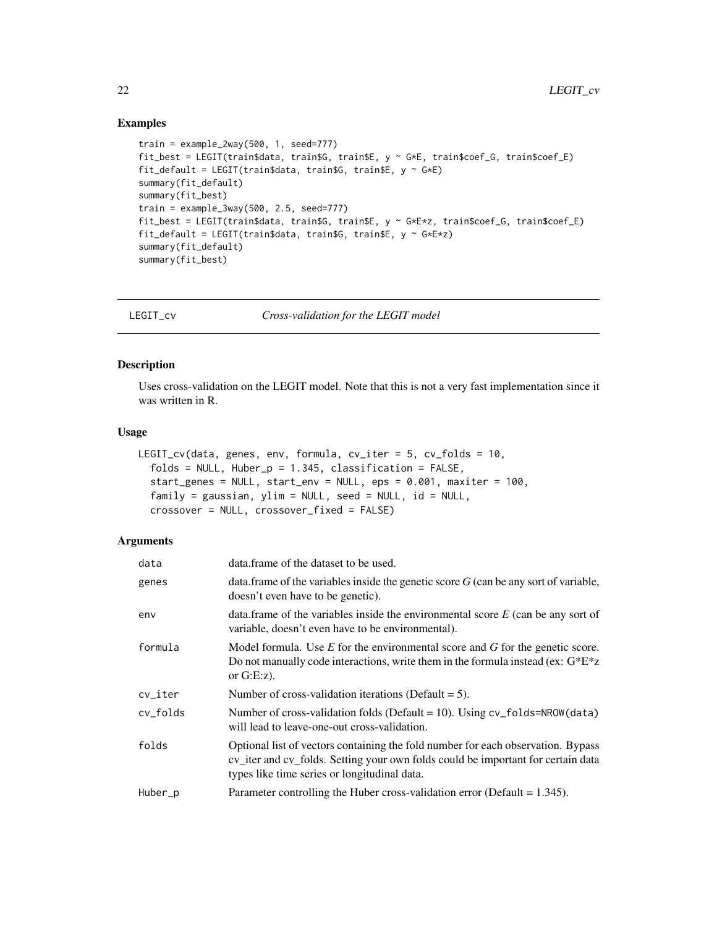#### <span id="page-21-0"></span>Examples

```
train = example_2way(500, 1, seed=777)
fit_best = LEGIT(train$data, train$G, train$E, y ~ G*E, train$coef_G, train$coef_E)
fit_default = LEGIT(train$data, train$G, train$E, y \sim G*E)
summary(fit_default)
summary(fit_best)
train = example_3way(500, 2.5, seed=777)
fit_best = LEGIT(train$data, train$G, train$E, y ~ G*E*z, train$coef_G, train$coef_E)
fit_default = LEGIT(train$data, train$G, train$E, y \sim G*E*z)
summary(fit_default)
summary(fit_best)
```
LEGIT\_cv *Cross-validation for the LEGIT model*

#### Description

Uses cross-validation on the LEGIT model. Note that this is not a very fast implementation since it was written in R.

# Usage

```
LEGIT_cv(data, genes, env, formula, cv_iter = 5, cv_folds = 10,
  folds = NULL, Huber_p = 1.345, classification = FALSE,
  start_genes = NULL, start_env = NULL, eps = 0.001, maxiter = 100,
  family = gaussian, ylim = NULL, seed = NULL, id = NULL,
  crossover = NULL, crossover_fixed = FALSE)
```

| data     | data.frame of the dataset to be used.                                                                                                                                                                                |
|----------|----------------------------------------------------------------------------------------------------------------------------------------------------------------------------------------------------------------------|
| genes    | data.frame of the variables inside the genetic score $G$ (can be any sort of variable,<br>doesn't even have to be genetic).                                                                                          |
| env      | data. frame of the variables inside the environmental score $E$ (can be any sort of<br>variable, doesn't even have to be environmental).                                                                             |
| formula  | Model formula. Use $E$ for the environmental score and $G$ for the genetic score.<br>Do not manually code interactions, write them in the formula instead (ex: $G^*E^*z$<br>or $G.E:z$ ).                            |
| cv_iter  | Number of cross-validation iterations (Default $= 5$ ).                                                                                                                                                              |
| cv_folds | Number of cross-validation folds (Default = 10). Using $cv_f$ olds=NROW(data)<br>will lead to leave-one-out cross-validation.                                                                                        |
| folds    | Optional list of vectors containing the fold number for each observation. Bypass<br>cv_iter and cv_folds. Setting your own folds could be important for certain data<br>types like time series or longitudinal data. |
| Huber_p  | Parameter controlling the Huber cross-validation error (Default = $1.345$ ).                                                                                                                                         |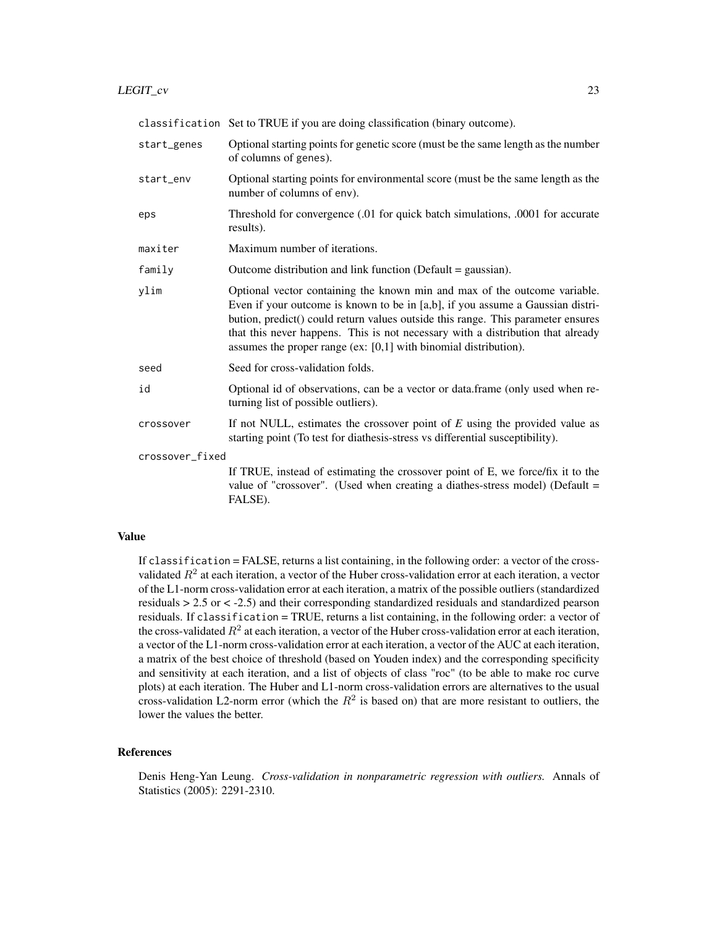|                 | classification Set to TRUE if you are doing classification (binary outcome).                                                                                                                                                                                                                                                                                                                             |
|-----------------|----------------------------------------------------------------------------------------------------------------------------------------------------------------------------------------------------------------------------------------------------------------------------------------------------------------------------------------------------------------------------------------------------------|
| start_genes     | Optional starting points for genetic score (must be the same length as the number<br>of columns of genes).                                                                                                                                                                                                                                                                                               |
| start_env       | Optional starting points for environmental score (must be the same length as the<br>number of columns of env).                                                                                                                                                                                                                                                                                           |
| eps             | Threshold for convergence (.01 for quick batch simulations, .0001 for accurate<br>results).                                                                                                                                                                                                                                                                                                              |
| maxiter         | Maximum number of iterations.                                                                                                                                                                                                                                                                                                                                                                            |
| family          | Outcome distribution and link function (Default $=$ gaussian).                                                                                                                                                                                                                                                                                                                                           |
| ylim            | Optional vector containing the known min and max of the outcome variable.<br>Even if your outcome is known to be in [a,b], if you assume a Gaussian distri-<br>bution, predict() could return values outside this range. This parameter ensures<br>that this never happens. This is not necessary with a distribution that already<br>assumes the proper range (ex: $[0,1]$ with binomial distribution). |
| seed            | Seed for cross-validation folds.                                                                                                                                                                                                                                                                                                                                                                         |
| id              | Optional id of observations, can be a vector or data.frame (only used when re-<br>turning list of possible outliers).                                                                                                                                                                                                                                                                                    |
| crossover       | If not NULL, estimates the crossover point of $E$ using the provided value as<br>starting point (To test for diathesis-stress vs differential susceptibility).                                                                                                                                                                                                                                           |
| crossover_fixed |                                                                                                                                                                                                                                                                                                                                                                                                          |
|                 | If TRUE, instead of estimating the crossover point of E, we force/fix it to the<br>value of "crossover". (Used when creating a diathes-stress model) (Default $=$<br>FALSE).                                                                                                                                                                                                                             |

If classification = FALSE, returns a list containing, in the following order: a vector of the crossvalidated  $R^2$  at each iteration, a vector of the Huber cross-validation error at each iteration, a vector of the L1-norm cross-validation error at each iteration, a matrix of the possible outliers (standardized residuals > 2.5 or < -2.5) and their corresponding standardized residuals and standardized pearson residuals. If classification = TRUE, returns a list containing, in the following order: a vector of the cross-validated  $R^2$  at each iteration, a vector of the Huber cross-validation error at each iteration, a vector of the L1-norm cross-validation error at each iteration, a vector of the AUC at each iteration, a matrix of the best choice of threshold (based on Youden index) and the corresponding specificity and sensitivity at each iteration, and a list of objects of class "roc" (to be able to make roc curve plots) at each iteration. The Huber and L1-norm cross-validation errors are alternatives to the usual cross-validation L2-norm error (which the  $R^2$  is based on) that are more resistant to outliers, the lower the values the better.

# References

Denis Heng-Yan Leung. *Cross-validation in nonparametric regression with outliers.* Annals of Statistics (2005): 2291-2310.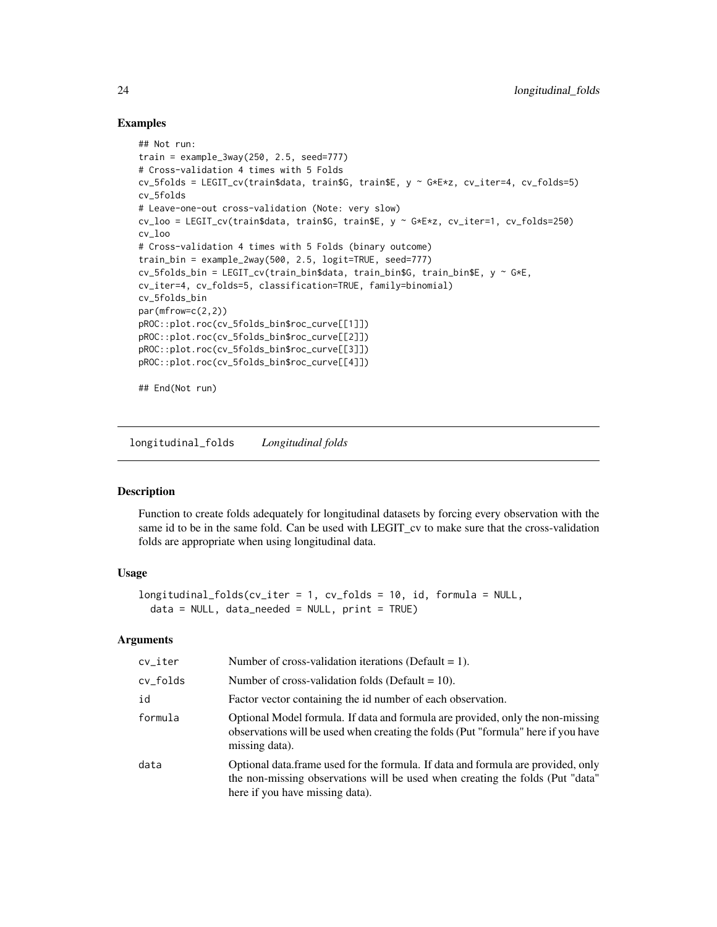#### Examples

```
## Not run:
train = example_3way(250, 2.5, seed=777)
# Cross-validation 4 times with 5 Folds
cv_5folds = LEGIT_cv(train$data, train$G, train$E, y ~ G*E*z, cv_iter=4, cv_folds=5)
cv_5folds
# Leave-one-out cross-validation (Note: very slow)
cv_loo = LEGIT_cv(train$data, train$G, train$E, y ~ G*E*z, cv_iter=1, cv_folds=250)
cv_loo
# Cross-validation 4 times with 5 Folds (binary outcome)
train_bin = example_2way(500, 2.5, logit=TRUE, seed=777)
cv_5folds_bin = LEGIT_cv(train_bin$data, train_bin$G, train_bin$E, y ~ G*E,
cv_iter=4, cv_folds=5, classification=TRUE, family=binomial)
cv_5folds_bin
par(mfrow=c(2,2))
pROC::plot.roc(cv_5folds_bin$roc_curve[[1]])
pROC::plot.roc(cv_5folds_bin$roc_curve[[2]])
pROC::plot.roc(cv_5folds_bin$roc_curve[[3]])
pROC::plot.roc(cv_5folds_bin$roc_curve[[4]])
## End(Not run)
```
longitudinal\_folds *Longitudinal folds*

#### Description

Function to create folds adequately for longitudinal datasets by forcing every observation with the same id to be in the same fold. Can be used with LEGIT\_cv to make sure that the cross-validation folds are appropriate when using longitudinal data.

# Usage

```
longitudinal_folds(cv_iter = 1, cv_folds = 10, id, formula = NULL,
  data = NULL, data\_needed = NULL, print = TRUE)
```

| cv_iter  | Number of cross-validation iterations (Default = 1).                                                                                                                                                  |
|----------|-------------------------------------------------------------------------------------------------------------------------------------------------------------------------------------------------------|
| cv_folds | Number of cross-validation folds (Default = $10$ ).                                                                                                                                                   |
| id       | Factor vector containing the id number of each observation.                                                                                                                                           |
| formula  | Optional Model formula. If data and formula are provided, only the non-missing<br>observations will be used when creating the folds (Put "formula" here if you have<br>missing data).                 |
| data     | Optional data. frame used for the formula. If data and formula are provided, only<br>the non-missing observations will be used when creating the folds (Put "data"<br>here if you have missing data). |

<span id="page-23-0"></span>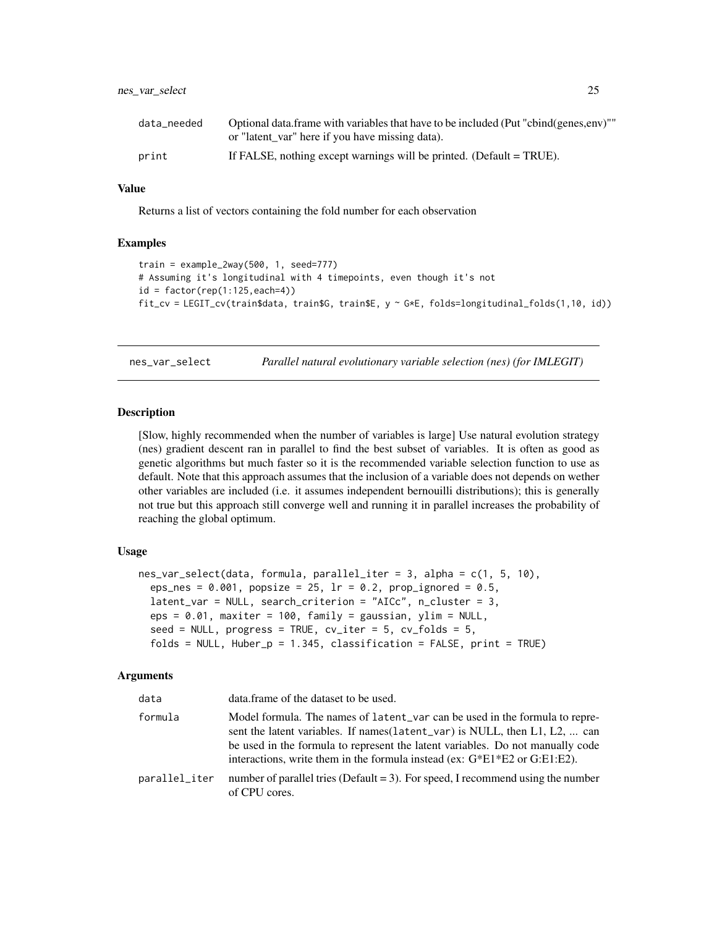#### <span id="page-24-0"></span>nes\_var\_select 25

| data_needed | Optional data frame with variables that have to be included (Put "cbind(genes,env)""<br>or "latent var" here if you have missing data). |
|-------------|-----------------------------------------------------------------------------------------------------------------------------------------|
| print       | If FALSE, nothing except warnings will be printed. (Default = TRUE).                                                                    |

#### Value

Returns a list of vectors containing the fold number for each observation

#### Examples

```
train = example_2way(500, 1, seed=777)
# Assuming it's longitudinal with 4 timepoints, even though it's not
id = factor(rep(1:125, each=4))fit_cv = LEGIT_cv(train$data, train$G, train$E, y ~ G*E, folds=longitudinal_folds(1,10, id))
```
nes\_var\_select *Parallel natural evolutionary variable selection (nes) (for IMLEGIT)*

#### Description

[Slow, highly recommended when the number of variables is large] Use natural evolution strategy (nes) gradient descent ran in parallel to find the best subset of variables. It is often as good as genetic algorithms but much faster so it is the recommended variable selection function to use as default. Note that this approach assumes that the inclusion of a variable does not depends on wether other variables are included (i.e. it assumes independent bernouilli distributions); this is generally not true but this approach still converge well and running it in parallel increases the probability of reaching the global optimum.

#### Usage

```
nes_var_select(data, formula, parallel_iter = 3, alpha = c(1, 5, 10),
  eps_nes = 0.001, popsize = 25, lr = 0.2, prop_ignored = 0.5,
  latent_var = NULL, search_criterion = "AICc", n_cluster = 3,
  eps = 0.01, maxiter = 100, family = gaussian, ylim = NULL,
  seed = NULL, progress = TRUE, cv\_iter = 5, cv\_folds = 5,
  folds = NULL, Huber_p = 1.345, classification = FALSE, print = TRUE)
```

| data          | data.frame of the dataset to be used.                                                                                                                                                                                                                                                                                          |
|---------------|--------------------------------------------------------------------------------------------------------------------------------------------------------------------------------------------------------------------------------------------------------------------------------------------------------------------------------|
| formula       | Model formula. The names of latent_var can be used in the formula to repre-<br>sent the latent variables. If names (latent_var) is NULL, then L1, L2,  can<br>be used in the formula to represent the latent variables. Do not manually code<br>interactions, write them in the formula instead (ex: $G*E1*E2$ or $G:E1:E2$ ). |
| parallel_iter | number of parallel tries (Default $=$ 3). For speed, I recommend using the number<br>of CPU cores.                                                                                                                                                                                                                             |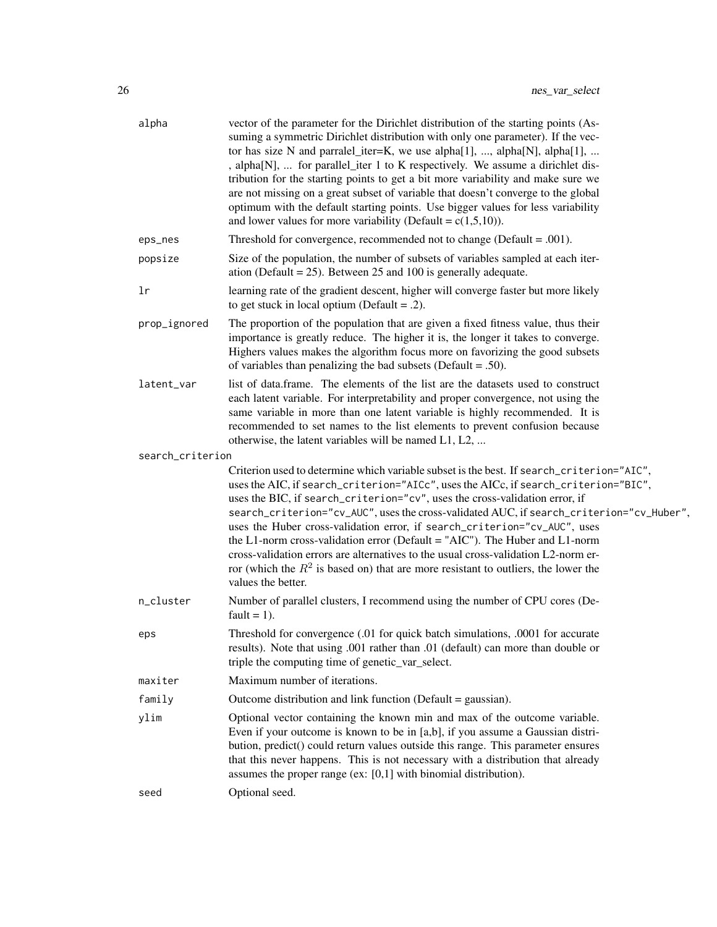| alpha            | vector of the parameter for the Dirichlet distribution of the starting points (As-<br>suming a symmetric Dirichlet distribution with only one parameter). If the vec-<br>tor has size N and parralel_iter=K, we use alpha[1], , alpha[N], alpha[1],<br>, alpha[N],  for parallel_iter 1 to K respectively. We assume a dirichlet dis-<br>tribution for the starting points to get a bit more variability and make sure we<br>are not missing on a great subset of variable that doesn't converge to the global<br>optimum with the default starting points. Use bigger values for less variability<br>and lower values for more variability (Default = $c(1,5,10)$ ).                                                       |
|------------------|-----------------------------------------------------------------------------------------------------------------------------------------------------------------------------------------------------------------------------------------------------------------------------------------------------------------------------------------------------------------------------------------------------------------------------------------------------------------------------------------------------------------------------------------------------------------------------------------------------------------------------------------------------------------------------------------------------------------------------|
| eps_nes          | Threshold for convergence, recommended not to change (Default = $.001$ ).                                                                                                                                                                                                                                                                                                                                                                                                                                                                                                                                                                                                                                                   |
| popsize          | Size of the population, the number of subsets of variables sampled at each iter-<br>ation (Default = $25$ ). Between 25 and 100 is generally adequate.                                                                                                                                                                                                                                                                                                                                                                                                                                                                                                                                                                      |
| lr               | learning rate of the gradient descent, higher will converge faster but more likely<br>to get stuck in local optium (Default = $.2$ ).                                                                                                                                                                                                                                                                                                                                                                                                                                                                                                                                                                                       |
| prop_ignored     | The proportion of the population that are given a fixed fitness value, thus their<br>importance is greatly reduce. The higher it is, the longer it takes to converge.<br>Highers values makes the algorithm focus more on favorizing the good subsets<br>of variables than penalizing the bad subsets (Default = .50).                                                                                                                                                                                                                                                                                                                                                                                                      |
| latent_var       | list of data.frame. The elements of the list are the datasets used to construct<br>each latent variable. For interpretability and proper convergence, not using the<br>same variable in more than one latent variable is highly recommended. It is<br>recommended to set names to the list elements to prevent confusion because<br>otherwise, the latent variables will be named L1, L2,                                                                                                                                                                                                                                                                                                                                   |
| search_criterion |                                                                                                                                                                                                                                                                                                                                                                                                                                                                                                                                                                                                                                                                                                                             |
|                  | Criterion used to determine which variable subset is the best. If search_criterion="AIC",<br>uses the AIC, if search_criterion="AICc", uses the AICc, if search_criterion="BIC",<br>uses the BIC, if search_criterion="cv", uses the cross-validation error, if<br>search_criterion="cv_AUC", uses the cross-validated AUC, if search_criterion="cv_Huber",<br>uses the Huber cross-validation error, if search_criterion="cv_AUC", uses<br>the L1-norm cross-validation error (Default = "AIC"). The Huber and L1-norm<br>cross-validation errors are alternatives to the usual cross-validation L2-norm er-<br>ror (which the $R^2$ is based on) that are more resistant to outliers, the lower the<br>values the better. |
| n_cluster        | Number of parallel clusters, I recommend using the number of CPU cores (De-<br>fault = $1$ ).                                                                                                                                                                                                                                                                                                                                                                                                                                                                                                                                                                                                                               |
| eps              | Threshold for convergence (.01 for quick batch simulations, .0001 for accurate<br>results). Note that using .001 rather than .01 (default) can more than double or<br>triple the computing time of genetic_var_select.                                                                                                                                                                                                                                                                                                                                                                                                                                                                                                      |
| maxiter          | Maximum number of iterations.                                                                                                                                                                                                                                                                                                                                                                                                                                                                                                                                                                                                                                                                                               |
| family           | Outcome distribution and link function (Default = gaussian).                                                                                                                                                                                                                                                                                                                                                                                                                                                                                                                                                                                                                                                                |
| ylim             | Optional vector containing the known min and max of the outcome variable.<br>Even if your outcome is known to be in [a,b], if you assume a Gaussian distri-<br>bution, predict() could return values outside this range. This parameter ensures<br>that this never happens. This is not necessary with a distribution that already<br>assumes the proper range (ex: [0,1] with binomial distribution).                                                                                                                                                                                                                                                                                                                      |
| seed             | Optional seed.                                                                                                                                                                                                                                                                                                                                                                                                                                                                                                                                                                                                                                                                                                              |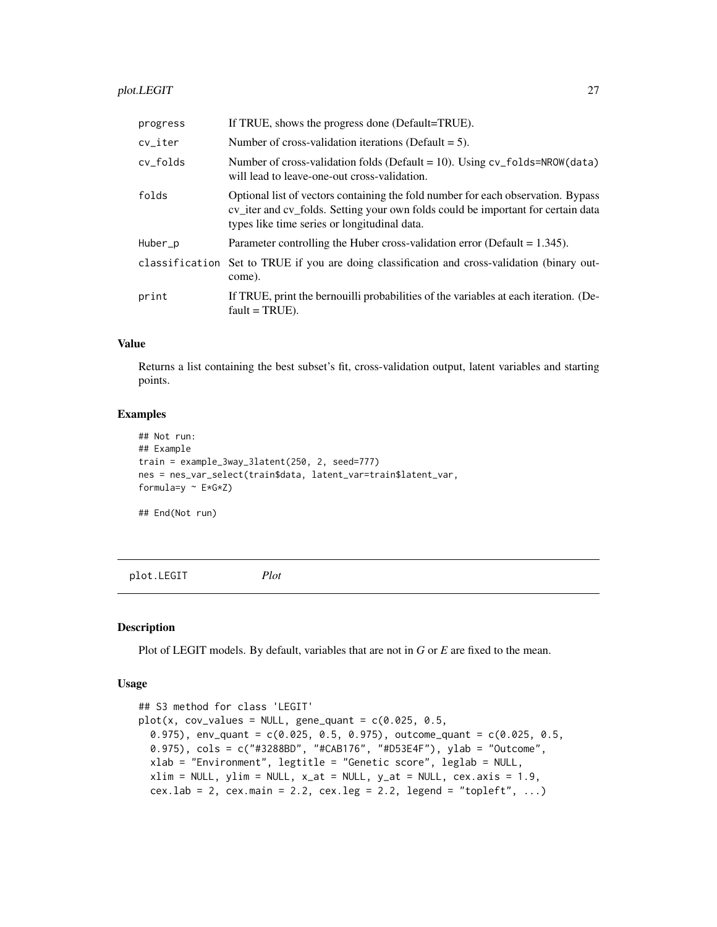<span id="page-26-0"></span>

| progress | If TRUE, shows the progress done (Default=TRUE).                                                                                                                                                                     |
|----------|----------------------------------------------------------------------------------------------------------------------------------------------------------------------------------------------------------------------|
| cv_iter  | Number of cross-validation iterations (Default $= 5$ ).                                                                                                                                                              |
| cv_folds | Number of cross-validation folds (Default = 10). Using $cv_f$ folds=NROW(data)<br>will lead to leave-one-out cross-validation.                                                                                       |
| folds    | Optional list of vectors containing the fold number for each observation. Bypass<br>cv_iter and cv_folds. Setting your own folds could be important for certain data<br>types like time series or longitudinal data. |
| Huber_p  | Parameter controlling the Huber cross-validation error (Default = $1.345$ ).                                                                                                                                         |
|          | classification Set to TRUE if you are doing classification and cross-validation (binary out-<br>come).                                                                                                               |
| print    | If TRUE, print the bernouilli probabilities of the variables at each iteration. (De-<br>$fault = TRUE$ ).                                                                                                            |

Returns a list containing the best subset's fit, cross-validation output, latent variables and starting points.

#### Examples

```
## Not run:
## Example
train = example_3way_3latent(250, 2, seed=777)
nes = nes_var_select(train$data, latent_var=train$latent_var,
formula=y \sim E*G*Z)
```
## End(Not run)

plot.LEGIT *Plot*

#### Description

Plot of LEGIT models. By default, variables that are not in *G* or *E* are fixed to the mean.

#### Usage

```
## S3 method for class 'LEGIT'
plot(x, cov_values = NULL, gene_quant = c(0.025, 0.5,0.975), env_quant = c(0.025, 0.5, 0.975), outcome_quant = c(0.025, 0.5, 0.5)0.975), cols = c("#3288BD", "#CAB176", "#D53E4F"), ylab = "Outcome",
 xlab = "Environment", legtitle = "Genetic score", leglab = NULL,
 xlim = NULL, ylim = NULL, x_at = NULL, y_at = NULL, cex-axis = 1.9,cex.lab = 2, cex.main = 2.2, cex.leg = 2.2, legend = "topleft", ...)
```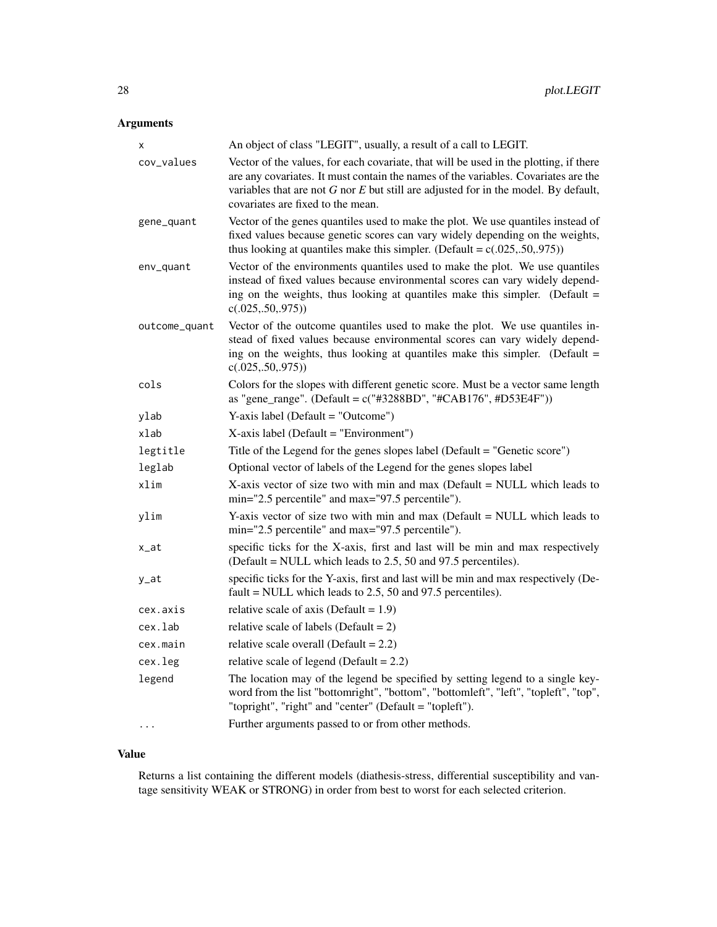# Arguments

| x             | An object of class "LEGIT", usually, a result of a call to LEGIT.                                                                                                                                                                                                                                           |
|---------------|-------------------------------------------------------------------------------------------------------------------------------------------------------------------------------------------------------------------------------------------------------------------------------------------------------------|
| cov_values    | Vector of the values, for each covariate, that will be used in the plotting, if there<br>are any covariates. It must contain the names of the variables. Covariates are the<br>variables that are not $G$ nor $E$ but still are adjusted for in the model. By default,<br>covariates are fixed to the mean. |
| gene_quant    | Vector of the genes quantiles used to make the plot. We use quantiles instead of<br>fixed values because genetic scores can vary widely depending on the weights,<br>thus looking at quantiles make this simpler. (Default = $c(.025, .50, .975)$ )                                                         |
| env_quant     | Vector of the environments quantiles used to make the plot. We use quantiles<br>instead of fixed values because environmental scores can vary widely depend-<br>ing on the weights, thus looking at quantiles make this simpler. (Default =<br>c(.025, .50, .975))                                          |
| outcome_quant | Vector of the outcome quantiles used to make the plot. We use quantiles in-<br>stead of fixed values because environmental scores can vary widely depend-<br>ing on the weights, thus looking at quantiles make this simpler. (Default =<br>c(.025, .50, .975))                                             |
| cols          | Colors for the slopes with different genetic score. Must be a vector same length<br>as "gene_range". (Default = c("#3288BD", "#CAB176", #D53E4F"))                                                                                                                                                          |
| ylab          | Y-axis label (Default = "Outcome")                                                                                                                                                                                                                                                                          |
| xlab          | X-axis label (Default = "Environment")                                                                                                                                                                                                                                                                      |
| legtitle      | Title of the Legend for the genes slopes label (Default = "Genetic score")                                                                                                                                                                                                                                  |
| leglab        | Optional vector of labels of the Legend for the genes slopes label                                                                                                                                                                                                                                          |
| xlim          | X-axis vector of size two with min and max (Default = NULL which leads to<br>min="2.5 percentile" and max="97.5 percentile").                                                                                                                                                                               |
| ylim          | Y-axis vector of size two with min and max (Default = NULL which leads to<br>min="2.5 percentile" and max="97.5 percentile").                                                                                                                                                                               |
| x_at          | specific ticks for the X-axis, first and last will be min and max respectively<br>(Default = NULL which leads to 2.5, 50 and 97.5 percentiles).                                                                                                                                                             |
| y_at          | specific ticks for the Y-axis, first and last will be min and max respectively (De-<br>fault = NULL which leads to $2.5$ , 50 and 97.5 percentiles).                                                                                                                                                        |
| cex.axis      | relative scale of axis (Default = $1.9$ )                                                                                                                                                                                                                                                                   |
| cex.lab       | relative scale of labels (Default = $2$ )                                                                                                                                                                                                                                                                   |
| cex.main      | relative scale overall (Default = $2.2$ )                                                                                                                                                                                                                                                                   |
| cex.leg       | relative scale of legend (Default = $2.2$ )                                                                                                                                                                                                                                                                 |
| legend        | The location may of the legend be specified by setting legend to a single key-<br>word from the list "bottomright", "bottom", "bottomleft", "left", "topleft", "top",<br>"topright", "right" and "center" (Default = "topleft").                                                                            |
|               | Further arguments passed to or from other methods.                                                                                                                                                                                                                                                          |

# Value

Returns a list containing the different models (diathesis-stress, differential susceptibility and vantage sensitivity WEAK or STRONG) in order from best to worst for each selected criterion.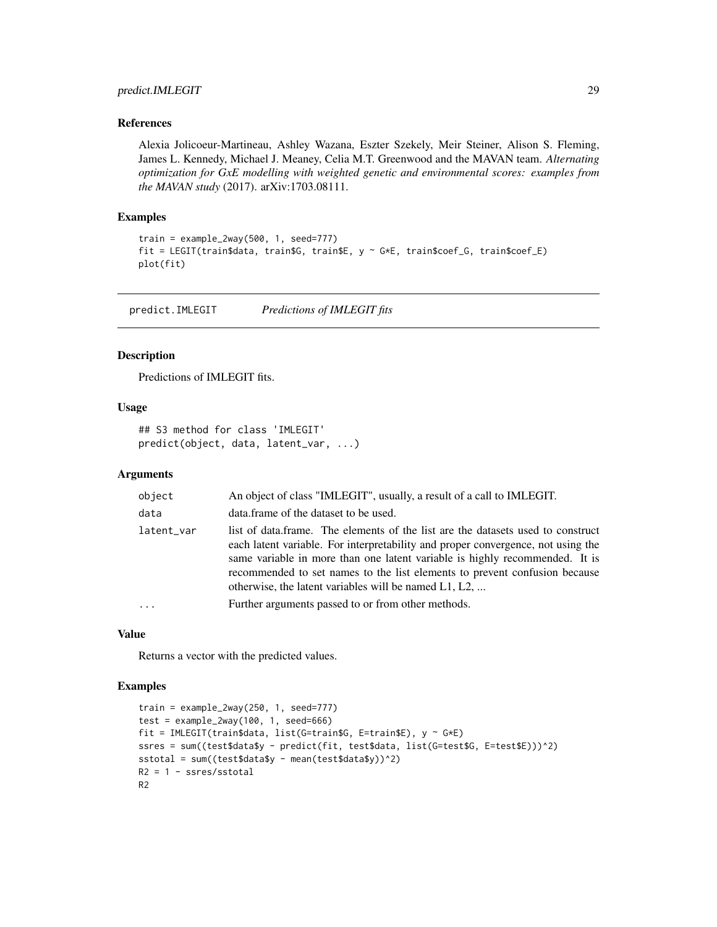# <span id="page-28-0"></span>predict.IMLEGIT 29

#### References

Alexia Jolicoeur-Martineau, Ashley Wazana, Eszter Szekely, Meir Steiner, Alison S. Fleming, James L. Kennedy, Michael J. Meaney, Celia M.T. Greenwood and the MAVAN team. *Alternating optimization for GxE modelling with weighted genetic and environmental scores: examples from the MAVAN study* (2017). arXiv:1703.08111.

#### Examples

```
train = example_2way(500, 1, seed=777)
fit = LEGIT(train$data, train$G, train$E, y ~ G*E, train$coef_G, train$coef_E)
plot(fit)
```
predict.IMLEGIT *Predictions of IMLEGIT fits*

#### Description

Predictions of IMLEGIT fits.

#### Usage

```
## S3 method for class 'IMLEGIT'
predict(object, data, latent_var, ...)
```
#### Arguments

| object     | An object of class "IMLEGIT", usually, a result of a call to IMLEGIT.                                                                                                                                                                                                                                                                                                                        |
|------------|----------------------------------------------------------------------------------------------------------------------------------------------------------------------------------------------------------------------------------------------------------------------------------------------------------------------------------------------------------------------------------------------|
| data       | data.frame of the dataset to be used.                                                                                                                                                                                                                                                                                                                                                        |
| latent_var | list of data.frame. The elements of the list are the datasets used to construct<br>each latent variable. For interpretability and proper convergence, not using the<br>same variable in more than one latent variable is highly recommended. It is<br>recommended to set names to the list elements to prevent confusion because<br>otherwise, the latent variables will be named $L1, L2, $ |
| $\cdots$   | Further arguments passed to or from other methods.                                                                                                                                                                                                                                                                                                                                           |
|            |                                                                                                                                                                                                                                                                                                                                                                                              |

#### Value

Returns a vector with the predicted values.

# Examples

```
train = example_2way(250, 1, seed=777)
test = example_2way(100, 1, seed=666)
fit = IMLEGIT(train$data, list(G=train$G, E=train$E), y ~ G*E)
ssres = sum((test$data$y - predict(fit, test$data, list(G=test$G, E=test$E)))^2)
sstotal = sum((test$data$y - mean(test$data$y))^2)
R2 = 1 - ssres/sstotal
R2
```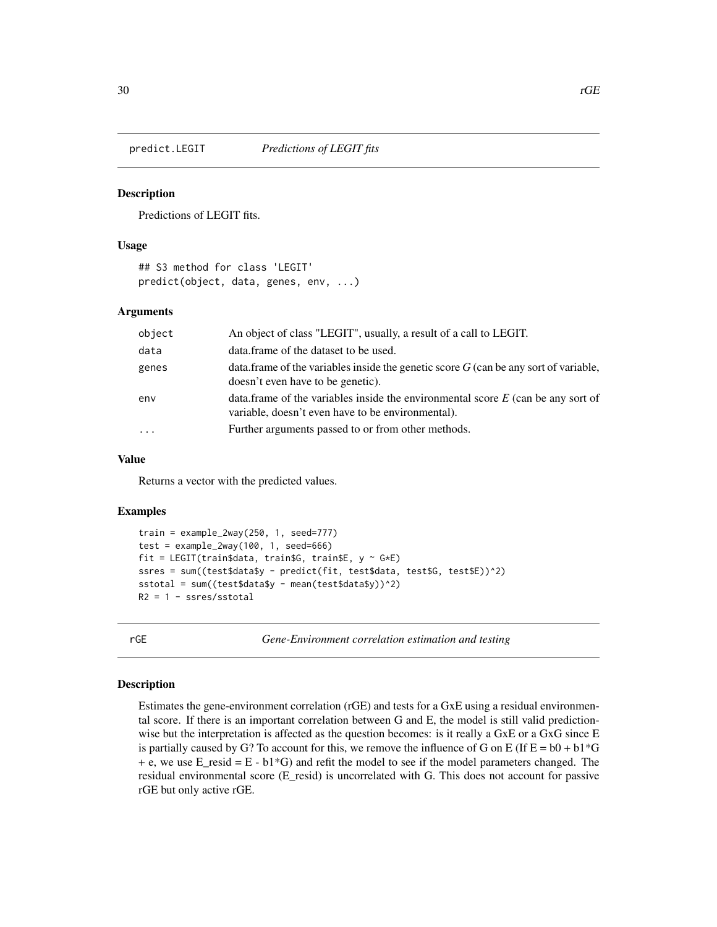<span id="page-29-0"></span>

#### Description

Predictions of LEGIT fits.

# Usage

```
## S3 method for class 'LEGIT'
predict(object, data, genes, env, ...)
```
#### Arguments

| object   | An object of class "LEGIT", usually, a result of a call to LEGIT.                                                                       |
|----------|-----------------------------------------------------------------------------------------------------------------------------------------|
| data     | data. frame of the dataset to be used.                                                                                                  |
| genes    | data. frame of the variables inside the genetic score $G$ (can be any sort of variable,<br>doesn't even have to be genetic).            |
| env      | data.frame of the variables inside the environmental score $E$ (can be any sort of<br>variable, doesn't even have to be environmental). |
| $\cdots$ | Further arguments passed to or from other methods.                                                                                      |

#### Value

Returns a vector with the predicted values.

#### Examples

```
train = example_2way(250, 1, seed=777)
test = example_2way(100, 1, seed=666)
fit = LEGIT(train$data, train$G, train$E, y \sim G*E)
ssres = sum((test$data$y - predict(fit, test$data, test$G, test$E))^2)
sstotal = sum((test$data$y - mean(test$data$y))^2)
R2 = 1 - ssres/sstotal
```
rGE *Gene-Environment correlation estimation and testing*

#### Description

Estimates the gene-environment correlation (rGE) and tests for a GxE using a residual environmental score. If there is an important correlation between G and E, the model is still valid predictionwise but the interpretation is affected as the question becomes: is it really a GxE or a GxG since E is partially caused by G? To account for this, we remove the influence of G on E (If  $E = b0 + b1*G$  $+ e$ , we use E\_resid = E - b1<sup>\*</sup>G) and refit the model to see if the model parameters changed. The residual environmental score (E\_resid) is uncorrelated with G. This does not account for passive rGE but only active rGE.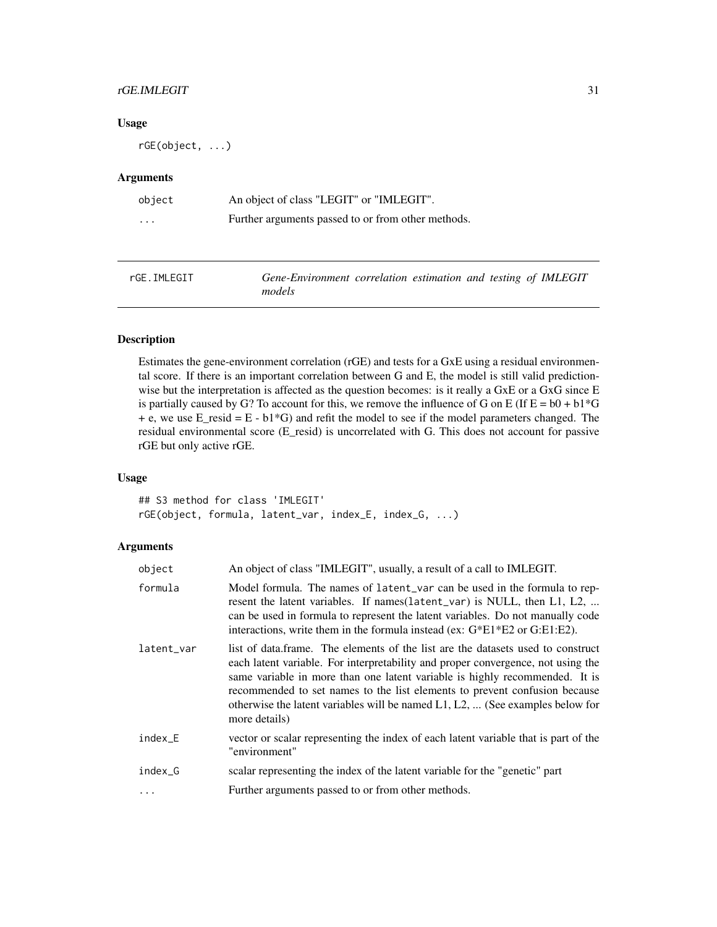### <span id="page-30-0"></span>rGE.IMLEGIT 31

# Usage

rGE(object, ...)

# Arguments

| object   | An object of class "LEGIT" or "IMLEGIT".           |
|----------|----------------------------------------------------|
| $\cdots$ | Further arguments passed to or from other methods. |

| rGE.IMLEGIT | Gene-Environment correlation estimation and testing of IMLEGIT |  |  |  |
|-------------|----------------------------------------------------------------|--|--|--|
|             | models                                                         |  |  |  |

# Description

Estimates the gene-environment correlation (rGE) and tests for a GxE using a residual environmental score. If there is an important correlation between G and E, the model is still valid predictionwise but the interpretation is affected as the question becomes: is it really a GxE or a GxG since E is partially caused by G? To account for this, we remove the influence of G on E (If  $E = b0 + b1*G$  $+ e$ , we use E\_resid = E - b1\*G) and refit the model to see if the model parameters changed. The residual environmental score (E\_resid) is uncorrelated with G. This does not account for passive rGE but only active rGE.

# Usage

## S3 method for class 'IMLEGIT' rGE(object, formula, latent\_var, index\_E, index\_G, ...)

| object     | An object of class "IMLEGIT", usually, a result of a call to IMLEGIT.                                                                                                                                                                                                                                                                                                                                                                |
|------------|--------------------------------------------------------------------------------------------------------------------------------------------------------------------------------------------------------------------------------------------------------------------------------------------------------------------------------------------------------------------------------------------------------------------------------------|
| formula    | Model formula. The names of latent_var can be used in the formula to rep-<br>resent the latent variables. If names (latent_var) is NULL, then L1, L2,<br>can be used in formula to represent the latent variables. Do not manually code<br>interactions, write them in the formula instead (ex: $G*E1*E2$ or $G:E1:E2$ ).                                                                                                            |
| latent_var | list of data.frame. The elements of the list are the datasets used to construct<br>each latent variable. For interpretability and proper convergence, not using the<br>same variable in more than one latent variable is highly recommended. It is<br>recommended to set names to the list elements to prevent confusion because<br>otherwise the latent variables will be named $L1, L2, $ (See examples below for<br>more details) |
| index_E    | vector or scalar representing the index of each latent variable that is part of the<br>"environment"                                                                                                                                                                                                                                                                                                                                 |
| index_G    | scalar representing the index of the latent variable for the "genetic" part                                                                                                                                                                                                                                                                                                                                                          |
|            | Further arguments passed to or from other methods.                                                                                                                                                                                                                                                                                                                                                                                   |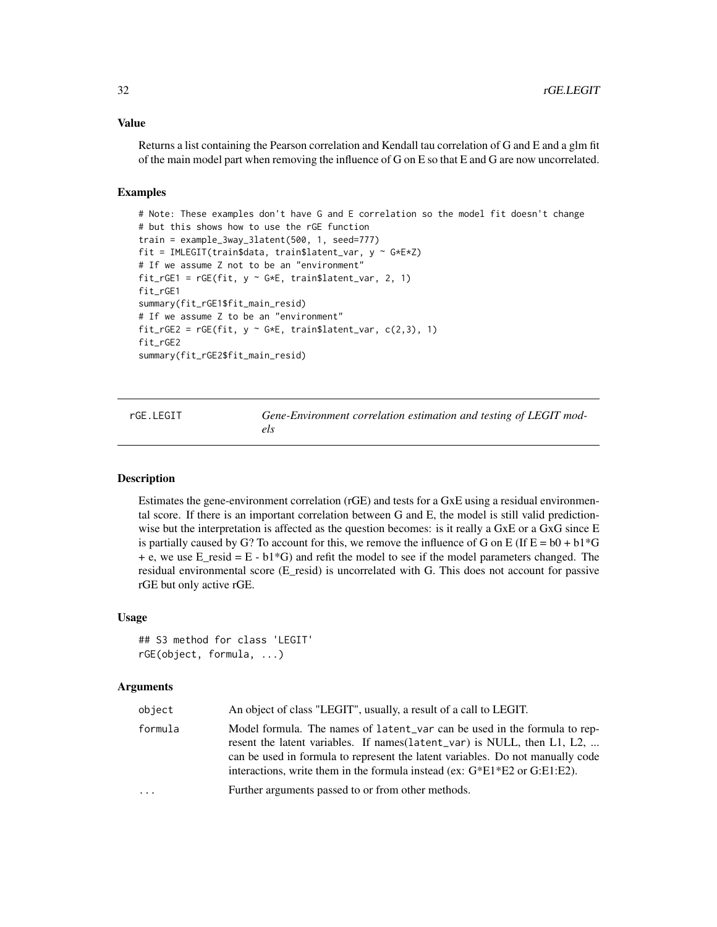<span id="page-31-0"></span>Returns a list containing the Pearson correlation and Kendall tau correlation of G and E and a glm fit of the main model part when removing the influence of G on E so that E and G are now uncorrelated.

# Examples

```
# Note: These examples don't have G and E correlation so the model fit doesn't change
# but this shows how to use the rGE function
train = example_3way_3latent(500, 1, seed=777)
fit = IMLEGIT(train$data, train$latent_var, y \sim G*ExZ)
# If we assume Z not to be an "environment"
fit_rGE1 = rGE(fit, y ~^cG*E, train$latent_var, 2, 1)fit_rGE1
summary(fit_rGE1$fit_main_resid)
# If we assume Z to be an "environment"
fit_rGE2 = rGE(fit, y ~ G*E, train$latent_var, c(2,3), 1)fit_rGE2
summary(fit_rGE2$fit_main_resid)
```
rGE.LEGIT *Gene-Environment correlation estimation and testing of LEGIT models*

#### Description

Estimates the gene-environment correlation (rGE) and tests for a GxE using a residual environmental score. If there is an important correlation between G and E, the model is still valid predictionwise but the interpretation is affected as the question becomes: is it really a GxE or a GxG since E is partially caused by G? To account for this, we remove the influence of G on E (If  $E = b0 + b1*G$  $+ e$ , we use E\_resid = E - b1<sup>\*</sup>G) and refit the model to see if the model parameters changed. The residual environmental score (E\_resid) is uncorrelated with G. This does not account for passive rGE but only active rGE.

#### Usage

```
## S3 method for class 'LEGIT'
rGE(object, formula, ...)
```

| object  | An object of class "LEGIT", usually, a result of a call to LEGIT.                                                                                                                                                                                                                                                           |
|---------|-----------------------------------------------------------------------------------------------------------------------------------------------------------------------------------------------------------------------------------------------------------------------------------------------------------------------------|
| formula | Model formula. The names of latent var can be used in the formula to rep-<br>resent the latent variables. If names (latent_var) is NULL, then L1, L2,<br>can be used in formula to represent the latent variables. Do not manually code<br>interactions, write them in the formula instead (ex: $G^*E1^*E2$ or $G.E1:E2$ ). |
| .       | Further arguments passed to or from other methods.                                                                                                                                                                                                                                                                          |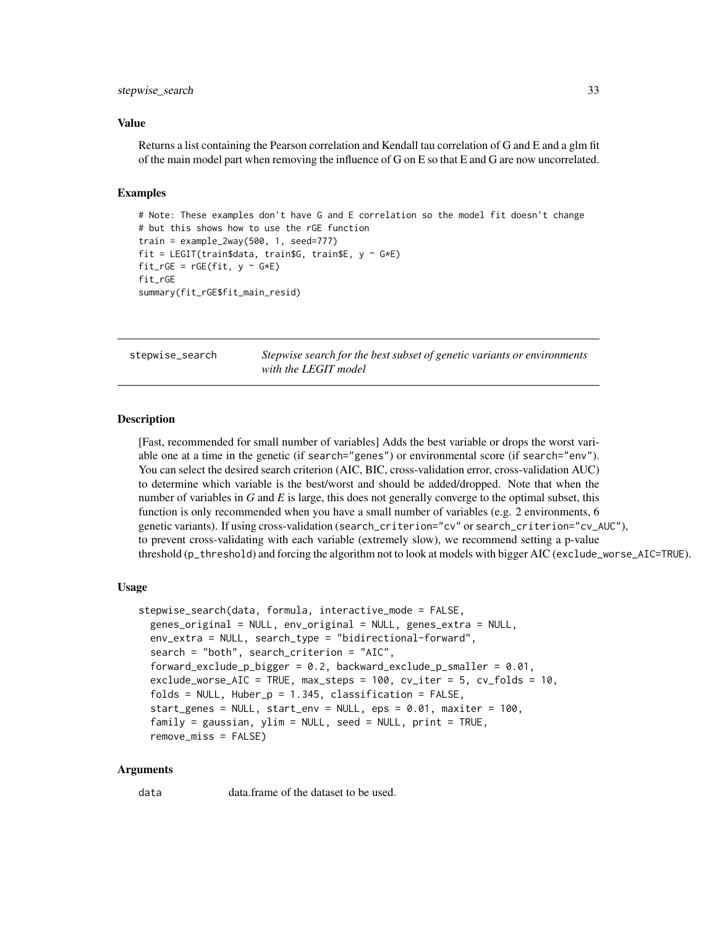#### <span id="page-32-0"></span>stepwise\_search 33

#### Value

Returns a list containing the Pearson correlation and Kendall tau correlation of G and E and a glm fit of the main model part when removing the influence of G on E so that E and G are now uncorrelated.

#### Examples

```
# Note: These examples don't have G and E correlation so the model fit doesn't change
# but this shows how to use the rGE function
train = example_2way(500, 1, seed=777)fit = LEGIT(train$data, train$G, train$E, y \sim G*E)
fit\_rGE = rGE(fit, y ~ c*E)fit_rGE
summary(fit_rGE$fit_main_resid)
```
stepwise\_search *Stepwise search for the best subset of genetic variants or environments with the LEGIT model*

#### **Description**

[Fast, recommended for small number of variables] Adds the best variable or drops the worst variable one at a time in the genetic (if search="genes") or environmental score (if search="env"). You can select the desired search criterion (AIC, BIC, cross-validation error, cross-validation AUC) to determine which variable is the best/worst and should be added/dropped. Note that when the number of variables in *G* and *E* is large, this does not generally converge to the optimal subset, this function is only recommended when you have a small number of variables (e.g. 2 environments, 6 genetic variants). If using cross-validation (search\_criterion="cv" or search\_criterion="cv\_AUC"), to prevent cross-validating with each variable (extremely slow), we recommend setting a p-value threshold (p\_threshold) and forcing the algorithm not to look at models with bigger AIC (exclude\_worse\_AIC=TRUE).

#### Usage

```
stepwise_search(data, formula, interactive_mode = FALSE,
 genes_original = NULL, env_original = NULL, genes_extra = NULL,
 env_extra = NULL, search_type = "bidirectional-forward",
 search = "both", search_criterion = "AIC",
 forward_exclude_p_bigger = 0.2, backward_exclude_p_smaller = 0.01,
 exclude_worse_AIC = TRUE, max_steps = 100, cv_iter = 5, cv_folds = 10,
 folds = NULL, Huber_p = 1.345, classification = FALSE,
 start_genes = NULL, start_env = NULL, eps = 0.01, maxiter = 100,
 family = gaussian, ylim = NULL, seed = NULL, print = TRUE,
 remove_miss = FALSE)
```
#### Arguments

data data.frame of the dataset to be used.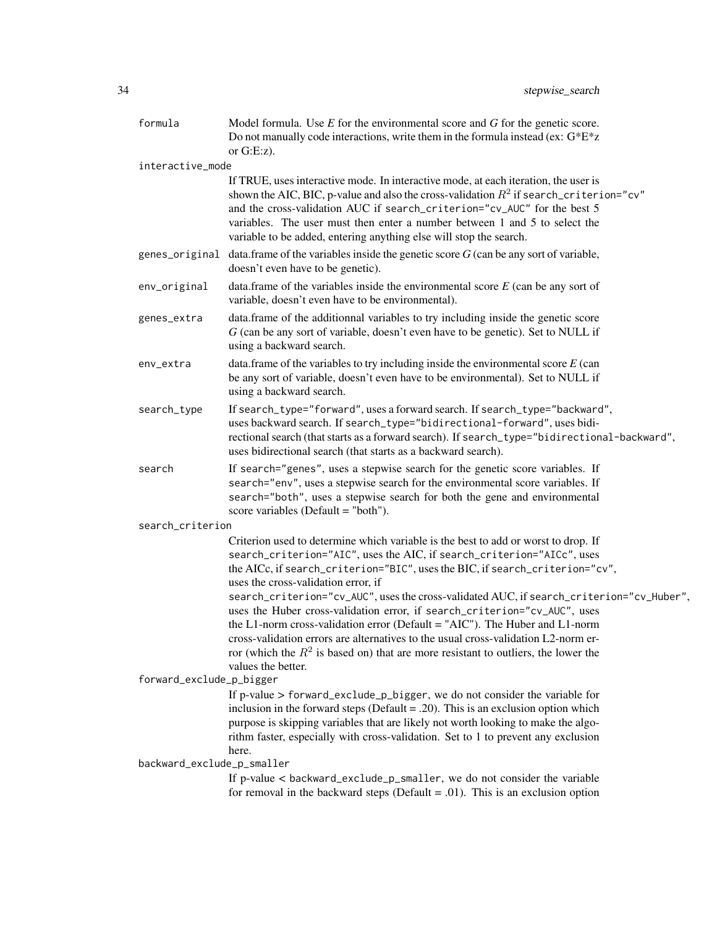| formula                    | Model formula. Use $E$ for the environmental score and $G$ for the genetic score.<br>Do not manually code interactions, write them in the formula instead (ex: $G*E*z$<br>or $G.E:z$ ).                                                                                                                                                                                                                                                                      |  |
|----------------------------|--------------------------------------------------------------------------------------------------------------------------------------------------------------------------------------------------------------------------------------------------------------------------------------------------------------------------------------------------------------------------------------------------------------------------------------------------------------|--|
| interactive_mode           |                                                                                                                                                                                                                                                                                                                                                                                                                                                              |  |
|                            | If TRUE, uses interactive mode. In interactive mode, at each iteration, the user is<br>shown the AIC, BIC, p-value and also the cross-validation $R^2$ if search_criterion="cv"<br>and the cross-validation AUC if search_criterion="cv_AUC" for the best 5<br>variables. The user must then enter a number between 1 and 5 to select the<br>variable to be added, entering anything else will stop the search.                                              |  |
|                            | genes_original data.frame of the variables inside the genetic score $G$ (can be any sort of variable,<br>doesn't even have to be genetic).                                                                                                                                                                                                                                                                                                                   |  |
| env_original               | data. frame of the variables inside the environmental score $E$ (can be any sort of<br>variable, doesn't even have to be environmental).                                                                                                                                                                                                                                                                                                                     |  |
| genes_extra                | data.frame of the additionnal variables to try including inside the genetic score<br>G (can be any sort of variable, doesn't even have to be genetic). Set to NULL if<br>using a backward search.                                                                                                                                                                                                                                                            |  |
| env_extra                  | data.frame of the variables to try including inside the environmental score $E$ (can<br>be any sort of variable, doesn't even have to be environmental). Set to NULL if<br>using a backward search.                                                                                                                                                                                                                                                          |  |
| search_type                | If search_type="forward", uses a forward search. If search_type="backward",<br>uses backward search. If search_type="bidirectional-forward", uses bidi-<br>rectional search (that starts as a forward search). If search_type="bidirectional-backward",<br>uses bidirectional search (that starts as a backward search).                                                                                                                                     |  |
| search                     | If search="genes", uses a stepwise search for the genetic score variables. If<br>search="env", uses a stepwise search for the environmental score variables. If<br>search="both", uses a stepwise search for both the gene and environmental<br>score variables (Default = "both").                                                                                                                                                                          |  |
| search_criterion           |                                                                                                                                                                                                                                                                                                                                                                                                                                                              |  |
|                            | Criterion used to determine which variable is the best to add or worst to drop. If<br>search_criterion="AIC", uses the AIC, if search_criterion="AICc", uses<br>the AICc, if search_criterion="BIC", uses the BIC, if search_criterion="cv",<br>uses the cross-validation error, if<br>search_criterion="cv_AUC", uses the cross-validated AUC, if search_criterion="cv_Huber",<br>uses the Huber cross-validation error, if search_criterion="cv_AUC", uses |  |
|                            | the L1-norm cross-validation error (Default = "AIC"). The Huber and L1-norm<br>cross-validation errors are alternatives to the usual cross-validation $L2$ -norm er-<br>ror (which the $R^2$ is based on) that are more resistant to outliers, the lower the<br>values the better.                                                                                                                                                                           |  |
| forward_exclude_p_bigger   |                                                                                                                                                                                                                                                                                                                                                                                                                                                              |  |
|                            | If p-value > forward_exclude_p_bigger, we do not consider the variable for<br>inclusion in the forward steps (Default = $.20$ ). This is an exclusion option which<br>purpose is skipping variables that are likely not worth looking to make the algo-<br>rithm faster, especially with cross-validation. Set to 1 to prevent any exclusion<br>here.                                                                                                        |  |
| backward_exclude_p_smaller |                                                                                                                                                                                                                                                                                                                                                                                                                                                              |  |
|                            | If p-value < backward_exclude_p_smaller, we do not consider the variable<br>for removal in the backward steps (Default = .01). This is an exclusion option                                                                                                                                                                                                                                                                                                   |  |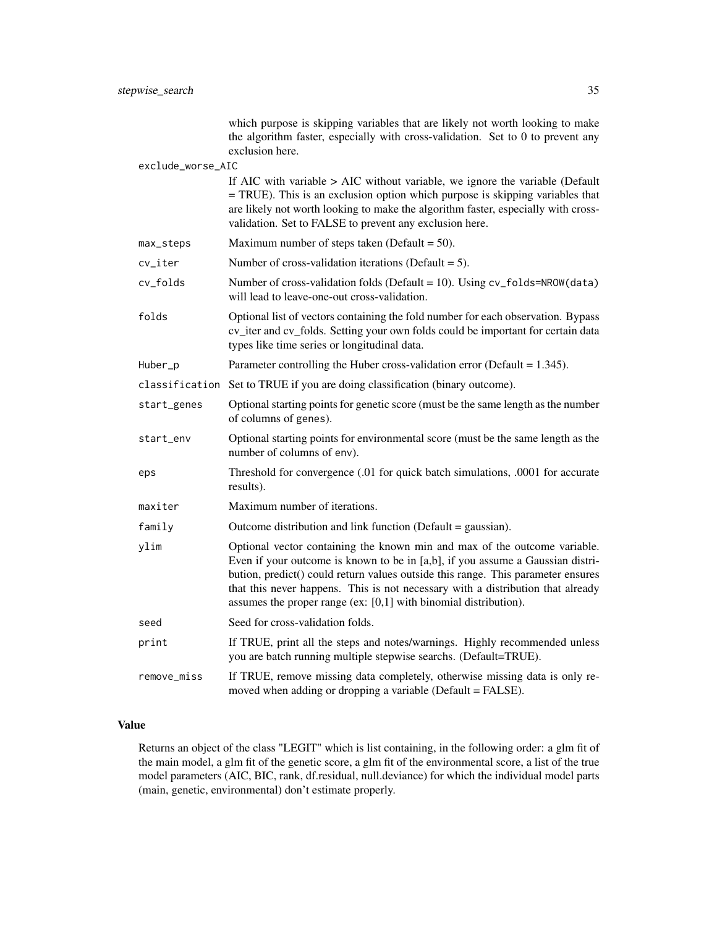which purpose is skipping variables that are likely not worth looking to make the algorithm faster, especially with cross-validation. Set to 0 to prevent any exclusion here.

exclude\_worse\_AIC

|             | If AIC with variable $>$ AIC without variable, we ignore the variable (Default<br>= TRUE). This is an exclusion option which purpose is skipping variables that<br>are likely not worth looking to make the algorithm faster, especially with cross-<br>validation. Set to FALSE to prevent any exclusion here.                                                                                          |  |  |
|-------------|----------------------------------------------------------------------------------------------------------------------------------------------------------------------------------------------------------------------------------------------------------------------------------------------------------------------------------------------------------------------------------------------------------|--|--|
| max_steps   | Maximum number of steps taken (Default = $50$ ).                                                                                                                                                                                                                                                                                                                                                         |  |  |
| cv_iter     | Number of cross-validation iterations (Default $= 5$ ).                                                                                                                                                                                                                                                                                                                                                  |  |  |
| cv_folds    | Number of cross-validation folds (Default = 10). Using cv_folds=NROW(data)<br>will lead to leave-one-out cross-validation.                                                                                                                                                                                                                                                                               |  |  |
| folds       | Optional list of vectors containing the fold number for each observation. Bypass<br>cv_iter and cv_folds. Setting your own folds could be important for certain data<br>types like time series or longitudinal data.                                                                                                                                                                                     |  |  |
| Huber_p     | Parameter controlling the Huber cross-validation error (Default = $1.345$ ).                                                                                                                                                                                                                                                                                                                             |  |  |
|             | classification Set to TRUE if you are doing classification (binary outcome).                                                                                                                                                                                                                                                                                                                             |  |  |
| start_genes | Optional starting points for genetic score (must be the same length as the number<br>of columns of genes).                                                                                                                                                                                                                                                                                               |  |  |
| start_env   | Optional starting points for environmental score (must be the same length as the<br>number of columns of env).                                                                                                                                                                                                                                                                                           |  |  |
| eps         | Threshold for convergence (.01 for quick batch simulations, .0001 for accurate<br>results).                                                                                                                                                                                                                                                                                                              |  |  |
| maxiter     | Maximum number of iterations.                                                                                                                                                                                                                                                                                                                                                                            |  |  |
| family      | Outcome distribution and link function (Default = gaussian).                                                                                                                                                                                                                                                                                                                                             |  |  |
| ylim        | Optional vector containing the known min and max of the outcome variable.<br>Even if your outcome is known to be in [a,b], if you assume a Gaussian distri-<br>bution, predict() could return values outside this range. This parameter ensures<br>that this never happens. This is not necessary with a distribution that already<br>assumes the proper range (ex: $[0,1]$ with binomial distribution). |  |  |
| seed        | Seed for cross-validation folds.                                                                                                                                                                                                                                                                                                                                                                         |  |  |
| print       | If TRUE, print all the steps and notes/warnings. Highly recommended unless<br>you are batch running multiple stepwise searchs. (Default=TRUE).                                                                                                                                                                                                                                                           |  |  |
| remove_miss | If TRUE, remove missing data completely, otherwise missing data is only re-<br>moved when adding or dropping a variable (Default = FALSE).                                                                                                                                                                                                                                                               |  |  |

# Value

Returns an object of the class "LEGIT" which is list containing, in the following order: a glm fit of the main model, a glm fit of the genetic score, a glm fit of the environmental score, a list of the true model parameters (AIC, BIC, rank, df.residual, null.deviance) for which the individual model parts (main, genetic, environmental) don't estimate properly.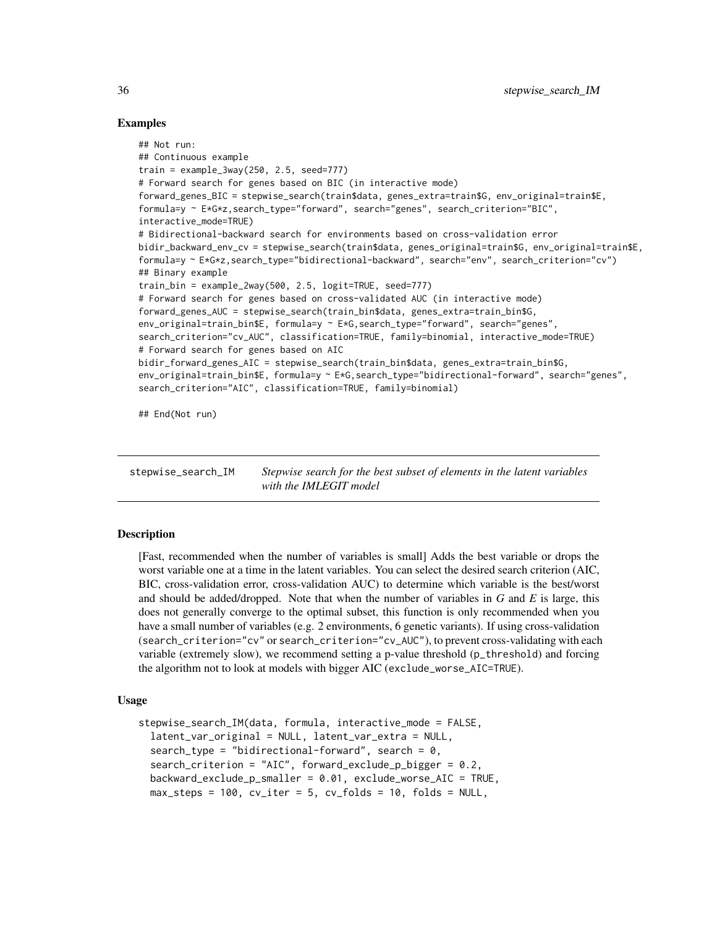### Examples

```
## Not run:
## Continuous example
train = example_3way(250, 2.5, seed=777)
# Forward search for genes based on BIC (in interactive mode)
forward_genes_BIC = stepwise_search(train$data, genes_extra=train$G, env_original=train$E,
formula=y ~ E*G*z,search_type="forward", search="genes", search_criterion="BIC",
interactive_mode=TRUE)
# Bidirectional-backward search for environments based on cross-validation error
bidir_backward_env_cv = stepwise_search(train$data, genes_original=train$G, env_original=train$E,
formula=y ~ E*G*z,search_type="bidirectional-backward", search="env", search_criterion="cv")
## Binary example
train_bin = example_2way(500, 2.5, logit=TRUE, seed=777)
# Forward search for genes based on cross-validated AUC (in interactive mode)
forward_genes_AUC = stepwise_search(train_bin$data, genes_extra=train_bin$G,
env_original=train_bin$E, formula=y ~ E*G,search_type="forward", search="genes",
search_criterion="cv_AUC", classification=TRUE, family=binomial, interactive_mode=TRUE)
# Forward search for genes based on AIC
bidir_forward_genes_AIC = stepwise_search(train_bin$data, genes_extra=train_bin$G,
env_original=train_bin$E, formula=y ~ E*G,search_type="bidirectional-forward", search="genes",
search_criterion="AIC", classification=TRUE, family=binomial)
```
## End(Not run)

stepwise\_search\_IM *Stepwise search for the best subset of elements in the latent variables with the IMLEGIT model*

#### Description

[Fast, recommended when the number of variables is small] Adds the best variable or drops the worst variable one at a time in the latent variables. You can select the desired search criterion (AIC, BIC, cross-validation error, cross-validation AUC) to determine which variable is the best/worst and should be added/dropped. Note that when the number of variables in *G* and *E* is large, this does not generally converge to the optimal subset, this function is only recommended when you have a small number of variables (e.g. 2 environments, 6 genetic variants). If using cross-validation (search\_criterion="cv" or search\_criterion="cv\_AUC"), to prevent cross-validating with each variable (extremely slow), we recommend setting a p-value threshold (p\_threshold) and forcing the algorithm not to look at models with bigger AIC (exclude\_worse\_AIC=TRUE).

# Usage

```
stepwise_search_IM(data, formula, interactive_mode = FALSE,
  latent_var_original = NULL, latent_var_extra = NULL,
  search_type = "bidirectional-forward", search = 0,search_criterion = "AIC", forward_exclude_p_bigger = 0.2,
  backward_exclude_p_smaller = 0.01, exclude_worse_AIC = TRUE,
  max\_steps = 100, cv\_iter = 5, cv\_folds = 10, folds = NULL,
```
<span id="page-35-0"></span>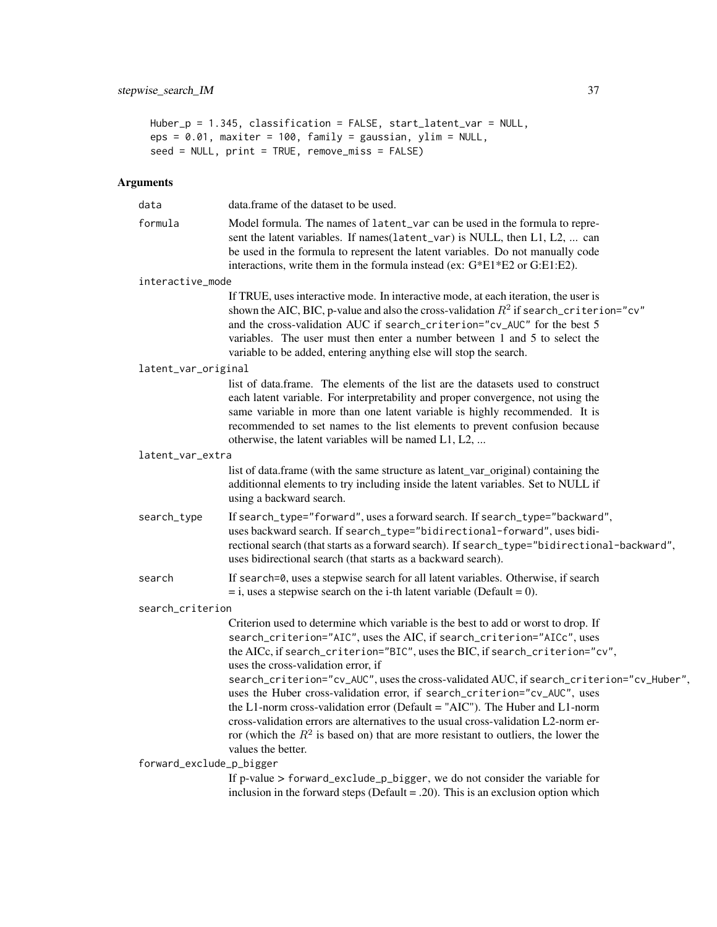```
Huber_p = 1.345, classification = FALSE, start_latent_var = NULL,
eps = 0.01, maxiter = 100, family = gaussian, ylim = NULL,
seed = NULL, print = TRUE, remove_miss = FALSE)
```

| data                     | data. frame of the dataset to be used.                                                                                                                                                                                                                                                                                                                                                                                                                       |
|--------------------------|--------------------------------------------------------------------------------------------------------------------------------------------------------------------------------------------------------------------------------------------------------------------------------------------------------------------------------------------------------------------------------------------------------------------------------------------------------------|
| formula                  | Model formula. The names of latent_var can be used in the formula to repre-<br>sent the latent variables. If names(latent_var) is NULL, then L1, L2,  can<br>be used in the formula to represent the latent variables. Do not manually code<br>interactions, write them in the formula instead (ex: G*E1*E2 or G:E1:E2).                                                                                                                                     |
| interactive_mode         |                                                                                                                                                                                                                                                                                                                                                                                                                                                              |
|                          | If TRUE, uses interactive mode. In interactive mode, at each iteration, the user is<br>shown the AIC, BIC, p-value and also the cross-validation $R^2$ if search_criterion="cv"<br>and the cross-validation AUC if search_criterion="cv_AUC" for the best 5<br>variables. The user must then enter a number between 1 and 5 to select the<br>variable to be added, entering anything else will stop the search.                                              |
| latent_var_original      |                                                                                                                                                                                                                                                                                                                                                                                                                                                              |
|                          | list of data.frame. The elements of the list are the datasets used to construct<br>each latent variable. For interpretability and proper convergence, not using the<br>same variable in more than one latent variable is highly recommended. It is<br>recommended to set names to the list elements to prevent confusion because<br>otherwise, the latent variables will be named L1, L2,                                                                    |
| latent_var_extra         |                                                                                                                                                                                                                                                                                                                                                                                                                                                              |
|                          | list of data.frame (with the same structure as latent_var_original) containing the<br>additionnal elements to try including inside the latent variables. Set to NULL if<br>using a backward search.                                                                                                                                                                                                                                                          |
| search_type              | If search_type="forward", uses a forward search. If search_type="backward",<br>uses backward search. If search_type="bidirectional-forward", uses bidi-<br>rectional search (that starts as a forward search). If search_type="bidirectional-backward",<br>uses bidirectional search (that starts as a backward search).                                                                                                                                     |
| search                   | If search=0, uses a stepwise search for all latent variables. Otherwise, if search<br>$=$ i, uses a stepwise search on the i-th latent variable (Default = 0).                                                                                                                                                                                                                                                                                               |
| search_criterion         |                                                                                                                                                                                                                                                                                                                                                                                                                                                              |
|                          | Criterion used to determine which variable is the best to add or worst to drop. If<br>search_criterion="AIC", uses the AIC, if search_criterion="AICc", uses<br>the AICc, if search_criterion="BIC", uses the BIC, if search_criterion="cv",<br>uses the cross-validation error, if<br>search_criterion="cv_AUC", uses the cross-validated AUC, if search_criterion="cv_Huber",<br>uses the Huber cross-validation error, if search_criterion="cv_AUC", uses |
|                          | the L1-norm cross-validation error (Default = "AIC"). The Huber and L1-norm<br>cross-validation errors are alternatives to the usual cross-validation L2-norm er-<br>ror (which the $R^2$ is based on) that are more resistant to outliers, the lower the                                                                                                                                                                                                    |
| forward_exclude_p_bigger | values the better.                                                                                                                                                                                                                                                                                                                                                                                                                                           |
|                          | If p-value > forward_exclude_p_bigger, we do not consider the variable for<br>inclusion in the forward steps (Default = .20). This is an exclusion option which                                                                                                                                                                                                                                                                                              |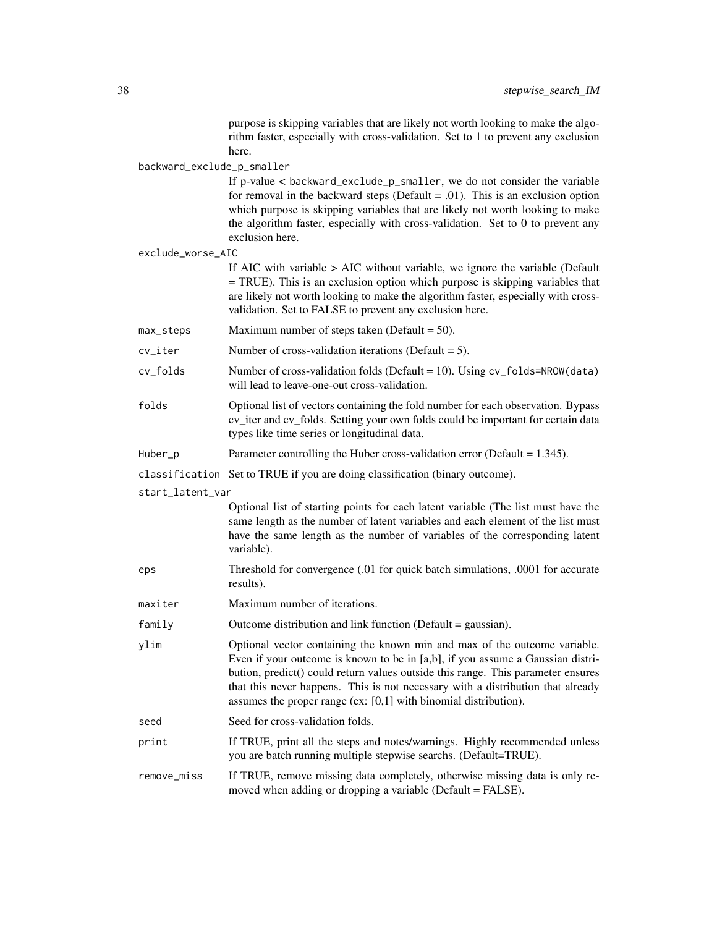purpose is skipping variables that are likely not worth looking to make the algorithm faster, especially with cross-validation. Set to 1 to prevent any exclusion here.

backward\_exclude\_p\_smaller

If p-value < backward\_exclude\_p\_smaller, we do not consider the variable for removal in the backward steps (Default  $= .01$ ). This is an exclusion option which purpose is skipping variables that are likely not worth looking to make the algorithm faster, especially with cross-validation. Set to 0 to prevent any exclusion here.

exclude\_worse\_AIC

If AIC with variable > AIC without variable, we ignore the variable (Default = TRUE). This is an exclusion option which purpose is skipping variables that are likely not worth looking to make the algorithm faster, especially with crossvalidation. Set to FALSE to prevent any exclusion here.

- $max\_steps$  Maximum number of steps taken (Default = 50).
- $cv$ <sub>l</sub> ter Number of cross-validation iterations (Default = 5).
- cv\_folds Number of cross-validation folds (Default = 10). Using cv\_folds=NROW(data) will lead to leave-one-out cross-validation.
- folds Optional list of vectors containing the fold number for each observation. Bypass cv iter and cv folds. Setting your own folds could be important for certain data types like time series or longitudinal data.
- Huber\_p Parameter controlling the Huber cross-validation error (Default = 1.345).

classification Set to TRUE if you are doing classification (binary outcome).

start\_latent\_var

Optional list of starting points for each latent variable (The list must have the same length as the number of latent variables and each element of the list must have the same length as the number of variables of the corresponding latent variable).

- eps Threshold for convergence (.01 for quick batch simulations, .0001 for accurate results).
- maxiter Maximum number of iterations.
- family Outcome distribution and link function (Default = gaussian).
- ylim Optional vector containing the known min and max of the outcome variable. Even if your outcome is known to be in [a,b], if you assume a Gaussian distribution, predict() could return values outside this range. This parameter ensures that this never happens. This is not necessary with a distribution that already assumes the proper range (ex: [0,1] with binomial distribution).
- seed Seed for cross-validation folds.
- print If TRUE, print all the steps and notes/warnings. Highly recommended unless you are batch running multiple stepwise searchs. (Default=TRUE).
- remove\_miss If TRUE, remove missing data completely, otherwise missing data is only removed when adding or dropping a variable (Default = FALSE).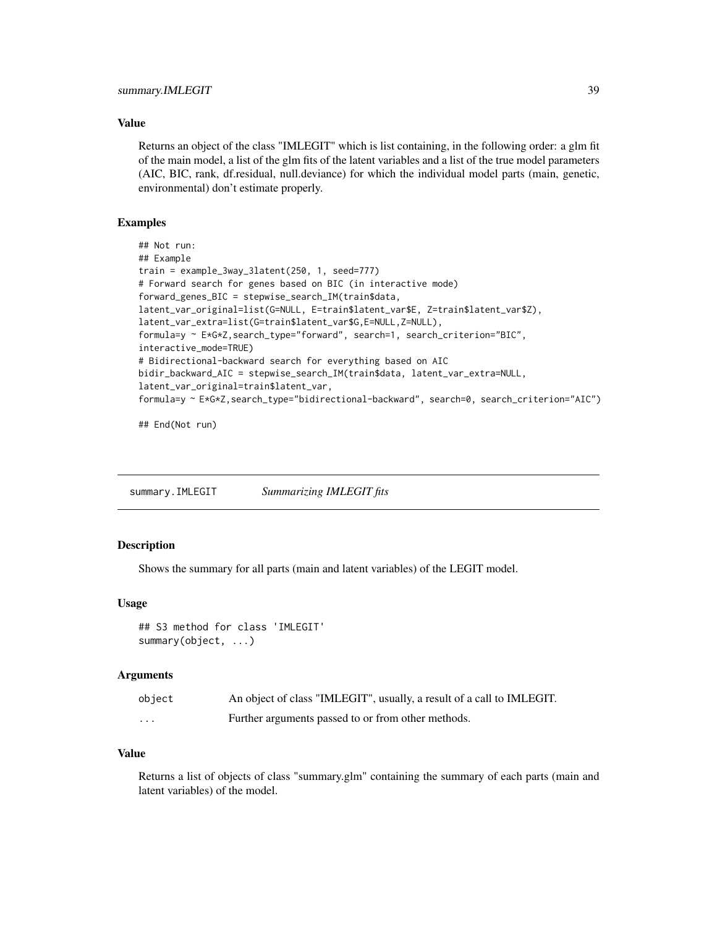<span id="page-38-0"></span>Returns an object of the class "IMLEGIT" which is list containing, in the following order: a glm fit of the main model, a list of the glm fits of the latent variables and a list of the true model parameters (AIC, BIC, rank, df.residual, null.deviance) for which the individual model parts (main, genetic, environmental) don't estimate properly.

#### Examples

```
## Not run:
## Example
train = example_3way_3latent(250, 1, seed=777)
# Forward search for genes based on BIC (in interactive mode)
forward_genes_BIC = stepwise_search_IM(train$data,
latent_var_original=list(G=NULL, E=train$latent_var$E, Z=train$latent_var$Z),
latent_var_extra=list(G=train$latent_var$G,E=NULL,Z=NULL),
formula=y ~ E*G*Z,search_type="forward", search=1, search_criterion="BIC",
interactive_mode=TRUE)
# Bidirectional-backward search for everything based on AIC
bidir_backward_AIC = stepwise_search_IM(train$data, latent_var_extra=NULL,
latent_var_original=train$latent_var,
formula=y ~ E*G*Z,search_type="bidirectional-backward", search=0, search_criterion="AIC")
```
## End(Not run)

summary.IMLEGIT *Summarizing IMLEGIT fits*

#### **Description**

Shows the summary for all parts (main and latent variables) of the LEGIT model.

#### Usage

```
## S3 method for class 'IMLEGIT'
summary(object, ...)
```
#### Arguments

| object                  | An object of class "IMLEGIT", usually, a result of a call to IMLEGIT. |
|-------------------------|-----------------------------------------------------------------------|
| $\cdot$ $\cdot$ $\cdot$ | Further arguments passed to or from other methods.                    |

# Value

Returns a list of objects of class "summary.glm" containing the summary of each parts (main and latent variables) of the model.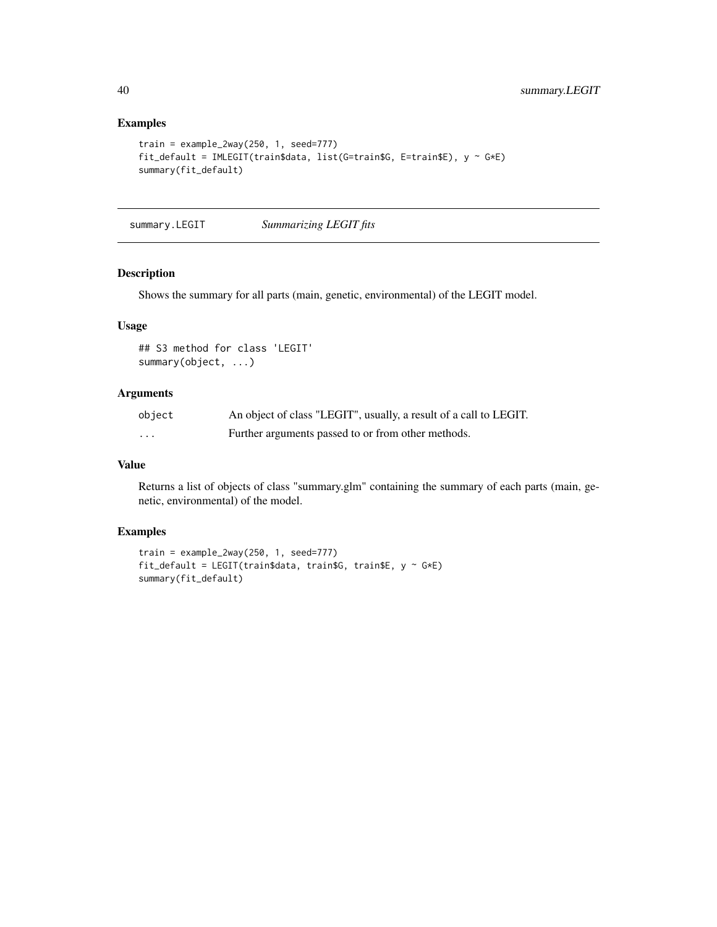# Examples

```
train = example_2way(250, 1, seed=777)
fit_default = IMLEGIT(train$data, list(G=train$G, E=train$E), y ~ G*E)
summary(fit_default)
```
summary.LEGIT *Summarizing LEGIT fits*

# Description

Shows the summary for all parts (main, genetic, environmental) of the LEGIT model.

#### Usage

```
## S3 method for class 'LEGIT'
summary(object, ...)
```
# Arguments

| object | An object of class "LEGIT", usually, a result of a call to LEGIT. |
|--------|-------------------------------------------------------------------|
| .      | Further arguments passed to or from other methods.                |

# Value

Returns a list of objects of class "summary.glm" containing the summary of each parts (main, genetic, environmental) of the model.

#### Examples

```
train = example_2way(250, 1, seed=777)
fit_default = LEGIT(train$data, train$G, train$E, y ~ G*E)
summary(fit_default)
```
<span id="page-39-0"></span>